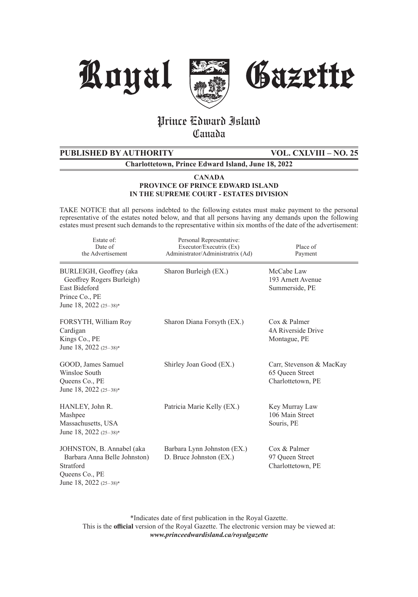





# Prince Edward Island **Canada**

# **PUBLISHED BY AUTHORITY VOL. CXLVIII – NO. 25**

**Charlottetown, Prince Edward Island, June 18, 2022**

#### **CANADA PROVINCE OF PRINCE EDWARD ISLAND IN THE SUPREME COURT - ESTATES DIVISION**

TAKE NOTICE that all persons indebted to the following estates must make payment to the personal representative of the estates noted below, and that all persons having any demands upon the following estates must present such demands to the representative within six months of the date of the advertisement:

| Estate of:<br>Date of<br>the Advertisement                                                                               | Personal Representative:<br>Executor/Executrix (Ex)<br>Administrator/Administratrix (Ad) | Place of<br>Payment                                              |
|--------------------------------------------------------------------------------------------------------------------------|------------------------------------------------------------------------------------------|------------------------------------------------------------------|
| BURLEIGH, Geoffrey (aka<br>Geoffrey Rogers Burleigh)<br><b>East Bideford</b><br>Prince Co., PE<br>June 18, 2022 (25-38)* | Sharon Burleigh (EX.)                                                                    | McCabe Law<br>193 Arnett Avenue<br>Summerside, PE                |
| FORSYTH, William Roy<br>Cardigan<br>Kings Co., PE<br>June 18, 2022 (25-38)*                                              | Sharon Diana Forsyth (EX.)                                                               | Cox & Palmer<br><b>4A Riverside Drive</b><br>Montague, PE        |
| GOOD, James Samuel<br>Winsloe South<br>Queens Co., PE<br>June 18, 2022 (25-38)*                                          | Shirley Joan Good (EX.)                                                                  | Carr, Stevenson & MacKay<br>65 Queen Street<br>Charlottetown, PE |
| HANLEY, John R.<br>Mashpee<br>Massachusetts, USA<br>June 18, 2022 (25-38)*                                               | Patricia Marie Kelly (EX.)                                                               | Key Murray Law<br>106 Main Street<br>Souris, PE                  |
| JOHNSTON, B. Annabel (aka<br>Barbara Anna Belle Johnston)<br>Stratford<br>Queens Co., PE<br>June 18, 2022 (25-38)*       | Barbara Lynn Johnston (EX.)<br>D. Bruce Johnston (EX.)                                   | Cox & Palmer<br>97 Queen Street<br>Charlottetown, PE             |

\*Indicates date of first publication in the Royal Gazette. This is the **official** version of the Royal Gazette. The electronic version may be viewed at: *www.princeedwardisland.ca/royalgazette*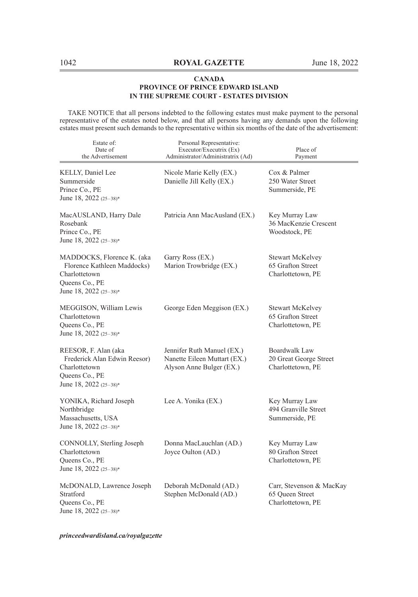TAKE NOTICE that all persons indebted to the following estates must make payment to the personal representative of the estates noted below, and that all persons having any demands upon the following estates must present such demands to the representative within six months of the date of the advertisement:

| Estate of:<br>Date of<br>the Advertisement                                                                             | Personal Representative:<br>Executor/Executrix (Ex)<br>Administrator/Administratrix (Ad) | Place of<br>Payment                                               |
|------------------------------------------------------------------------------------------------------------------------|------------------------------------------------------------------------------------------|-------------------------------------------------------------------|
| KELLY, Daniel Lee<br>Summerside<br>Prince Co., PE<br>June 18, 2022 (25-38)*                                            | Nicole Marie Kelly (EX.)<br>Danielle Jill Kelly (EX.)                                    | Cox & Palmer<br>250 Water Street<br>Summerside, PE                |
| MacAUSLAND, Harry Dale<br>Rosebank<br>Prince Co., PE<br>June 18, 2022 (25-38)*                                         | Patricia Ann MacAusland (EX.)                                                            | Key Murray Law<br>36 MacKenzie Crescent<br>Woodstock, PE          |
| MADDOCKS, Florence K. (aka<br>Florence Kathleen Maddocks)<br>Charlottetown<br>Queens Co., PE<br>June 18, 2022 (25-38)* | Garry Ross (EX.)<br>Marion Trowbridge (EX.)                                              | <b>Stewart McKelvey</b><br>65 Grafton Street<br>Charlottetown, PE |
| MEGGISON, William Lewis<br>Charlottetown<br>Queens Co., PE<br>June 18, 2022 (25–38)*                                   | George Eden Meggison (EX.)                                                               | Stewart McKelvey<br>65 Grafton Street<br>Charlottetown, PE        |
| REESOR, F. Alan (aka<br>Frederick Alan Edwin Reesor)<br>Charlottetown<br>Queens Co., PE<br>June 18, 2022 (25-38)*      | Jennifer Ruth Manuel (EX.)<br>Nanette Eileen Muttart (EX.)<br>Alyson Anne Bulger (EX.)   | Boardwalk Law<br>20 Great George Street<br>Charlottetown, PE      |
| YONIKA, Richard Joseph<br>Northbridge<br>Massachusetts, USA<br>June 18, 2022 (25-38)*                                  | Lee A. Yonika (EX.)                                                                      | Key Murray Law<br>494 Granville Street<br>Summerside, PE          |
| CONNOLLY, Sterling Joseph<br>Charlottetown<br>Queens Co., PE<br>June 18, 2022 (25-38)*                                 | Donna MacLauchlan (AD.)<br>Joyce Oulton (AD.)                                            | Key Murray Law<br>80 Grafton Street<br>Charlottetown, PE          |
| McDONALD, Lawrence Joseph<br>Stratford<br>Queens Co., PE<br>June 18, 2022 (25-38)*                                     | Deborah McDonald (AD.)<br>Stephen McDonald (AD.)                                         | Carr, Stevenson & MacKay<br>65 Queen Street<br>Charlottetown, PE  |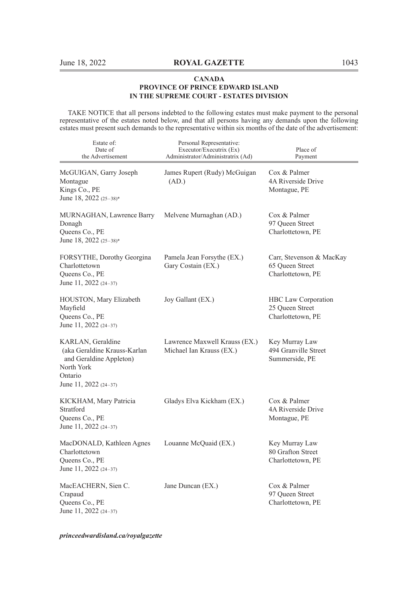TAKE NOTICE that all persons indebted to the following estates must make payment to the personal representative of the estates noted below, and that all persons having any demands upon the following estates must present such demands to the representative within six months of the date of the advertisement:

| Estate of:<br>Date of<br>the Advertisement                                                                                       | Personal Representative:<br>Executor/Executrix (Ex)<br>Administrator/Administratrix (Ad) | Place of<br>Payment                                              |
|----------------------------------------------------------------------------------------------------------------------------------|------------------------------------------------------------------------------------------|------------------------------------------------------------------|
| McGUIGAN, Garry Joseph<br>Montague<br>Kings Co., PE<br>June 18, 2022 (25-38)*                                                    | James Rupert (Rudy) McGuigan<br>(AD.)                                                    | Cox & Palmer<br>4A Riverside Drive<br>Montague, PE               |
| MURNAGHAN, Lawrence Barry<br>Donagh<br>Queens Co., PE<br>June 18, 2022 (25-38)*                                                  | Melvene Murnaghan (AD.)                                                                  | Cox & Palmer<br>97 Oueen Street<br>Charlottetown, PE             |
| FORSYTHE, Dorothy Georgina<br>Charlottetown<br>Queens Co., PE<br>June 11, 2022 (24-37)                                           | Pamela Jean Forsythe (EX.)<br>Gary Costain (EX.)                                         | Carr, Stevenson & MacKay<br>65 Queen Street<br>Charlottetown, PE |
| HOUSTON, Mary Elizabeth<br>Mayfield<br>Queens Co., PE<br>June 11, 2022 (24-37)                                                   | Joy Gallant (EX.)                                                                        | HBC Law Corporation<br>25 Queen Street<br>Charlottetown, PE      |
| KARLAN, Geraldine<br>(aka Geraldine Krauss-Karlan<br>and Geraldine Appleton)<br>North York<br>Ontario<br>June 11, 2022 $(24-37)$ | Lawrence Maxwell Krauss (EX.)<br>Michael Ian Krauss (EX.)                                | Key Murray Law<br>494 Granville Street<br>Summerside, PE         |
| KICKHAM, Mary Patricia<br>Stratford<br>Queens Co., PE<br>June 11, 2022 (24-37)                                                   | Gladys Elva Kickham (EX.)                                                                | Cox & Palmer<br>4A Riverside Drive<br>Montague, PE               |
| MacDONALD, Kathleen Agnes<br>Charlottetown<br>Queens Co., PE<br>June 11, 2022 (24-37)                                            | Louanne McQuaid (EX.)                                                                    | Key Murray Law<br>80 Grafton Street<br>Charlottetown, PE         |
| MacEACHERN, Sien C.<br>Crapaud<br>Queens Co., PE<br>June 11, 2022 (24-37)                                                        | Jane Duncan (EX.)                                                                        | Cox & Palmer<br>97 Queen Street<br>Charlottetown, PE             |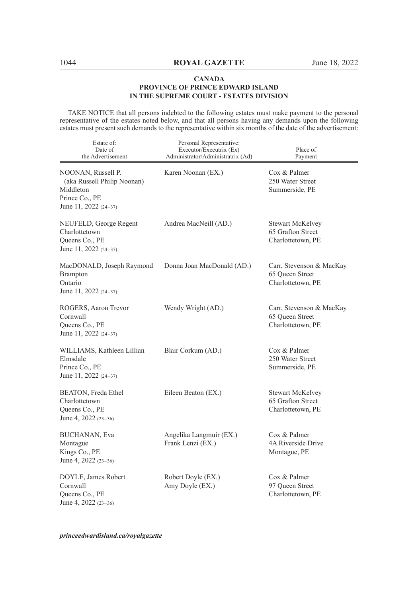TAKE NOTICE that all persons indebted to the following estates must make payment to the personal representative of the estates noted below, and that all persons having any demands upon the following estates must present such demands to the representative within six months of the date of the advertisement:

| Estate of:<br>Date of<br>the Advertisement                                                                | Personal Representative:<br>Executor/Executrix (Ex)<br>Administrator/Administratrix (Ad) | Place of<br>Payment                                              |
|-----------------------------------------------------------------------------------------------------------|------------------------------------------------------------------------------------------|------------------------------------------------------------------|
| NOONAN, Russell P.<br>(aka Russell Philip Noonan)<br>Middleton<br>Prince Co., PE<br>June 11, 2022 (24-37) | Karen Noonan (EX.)                                                                       | Cox & Palmer<br>250 Water Street<br>Summerside, PE               |
| NEUFELD, George Regent<br>Charlottetown<br>Queens Co., PE<br>June 11, 2022 (24-37)                        | Andrea MacNeill (AD.)                                                                    | Stewart McKelvey<br>65 Grafton Street<br>Charlottetown, PE       |
| MacDONALD, Joseph Raymond<br><b>Brampton</b><br>Ontario<br>June 11, 2022 (24–37)                          | Donna Joan MacDonald (AD.)                                                               | Carr, Stevenson & MacKay<br>65 Queen Street<br>Charlottetown, PE |
| ROGERS, Aaron Trevor<br>Cornwall<br>Queens Co., PE<br>June 11, 2022 (24-37)                               | Wendy Wright (AD.)                                                                       | Carr, Stevenson & MacKay<br>65 Queen Street<br>Charlottetown, PE |
| WILLIAMS, Kathleen Lillian<br>Elmsdale<br>Prince Co., PE<br>June 11, 2022 (24–37)                         | Blair Corkum (AD.)                                                                       | Cox & Palmer<br>250 Water Street<br>Summerside, PE               |
| BEATON, Freda Ethel<br>Charlottetown<br>Queens Co., PE<br>June 4, 2022 (23-36)                            | Eileen Beaton (EX.)                                                                      | Stewart McKelvey<br>65 Grafton Street<br>Charlottetown, PE       |
| <b>BUCHANAN</b> , Eva<br>Montague<br>Kings Co., PE<br>June 4, 2022 (23-36)                                | Angelika Langmuir (EX.)<br>Frank Lenzi (EX.)                                             | Cox & Palmer<br>4A Riverside Drive<br>Montague, PE               |
| DOYLE, James Robert<br>Cornwall<br>Queens Co., PE<br>June 4, 2022 (23-36)                                 | Robert Doyle (EX.)<br>Amy Doyle (EX.)                                                    | Cox & Palmer<br>97 Queen Street<br>Charlottetown, PE             |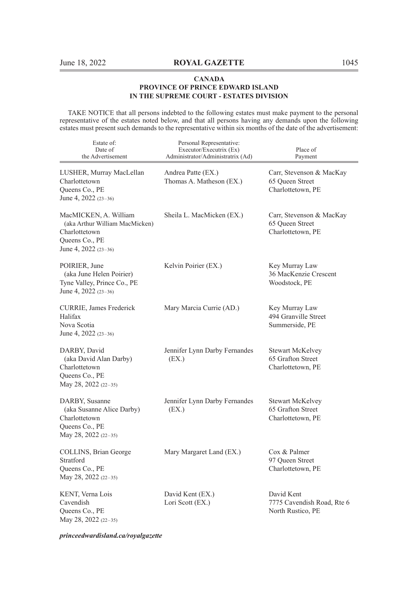TAKE NOTICE that all persons indebted to the following estates must make payment to the personal representative of the estates noted below, and that all persons having any demands upon the following estates must present such demands to the representative within six months of the date of the advertisement:

| Estate of:<br>Date of<br>the Advertisement                                                                         | Personal Representative:<br>Executor/Executrix (Ex)<br>Administrator/Administratrix (Ad) | Place of<br>Payment                                               |
|--------------------------------------------------------------------------------------------------------------------|------------------------------------------------------------------------------------------|-------------------------------------------------------------------|
| LUSHER, Murray MacLellan<br>Charlottetown<br>Queens Co., PE<br>June 4, 2022 (23-36)                                | Andrea Patte (EX.)<br>Thomas A. Matheson (EX.)                                           | Carr, Stevenson & MacKay<br>65 Queen Street<br>Charlottetown, PE  |
| MacMICKEN, A. William<br>(aka Arthur William MacMicken)<br>Charlottetown<br>Queens Co., PE<br>June 4, 2022 (23-36) | Sheila L. MacMicken (EX.)                                                                | Carr, Stevenson & MacKay<br>65 Queen Street<br>Charlottetown, PE  |
| POIRIER, June<br>(aka June Helen Poirier)<br>Tyne Valley, Prince Co., PE<br>June 4, 2022 $(23-36)$                 | Kelvin Poirier (EX.)                                                                     | Key Murray Law<br>36 MacKenzie Crescent<br>Woodstock, PE          |
| CURRIE, James Frederick<br>Halifax<br>Nova Scotia<br>June 4, 2022 (23-36)                                          | Mary Marcia Currie (AD.)                                                                 | Key Murray Law<br>494 Granville Street<br>Summerside, PE          |
| DARBY, David<br>(aka David Alan Darby)<br>Charlottetown<br>Queens Co., PE<br>May 28, 2022 (22–35)                  | Jennifer Lynn Darby Fernandes<br>(EX.)                                                   | <b>Stewart McKelvey</b><br>65 Grafton Street<br>Charlottetown, PE |
| DARBY, Susanne<br>(aka Susanne Alice Darby)<br>Charlottetown<br>Queens Co., PE<br>May 28, 2022 (22–35)             | Jennifer Lynn Darby Fernandes<br>(EX.)                                                   | <b>Stewart McKelvey</b><br>65 Grafton Street<br>Charlottetown, PE |
| COLLINS, Brian George<br>Stratford<br>Queens Co., PE<br>May 28, 2022 (22-35)                                       | Mary Margaret Land (EX.)                                                                 | Cox & Palmer<br>97 Queen Street<br>Charlottetown, PE              |
| KENT, Verna Lois<br>Cavendish<br>Queens Co., PE<br>May 28, 2022 (22-35)                                            | David Kent (EX.)<br>Lori Scott (EX.)                                                     | David Kent<br>7775 Cavendish Road, Rte 6<br>North Rustico, PE     |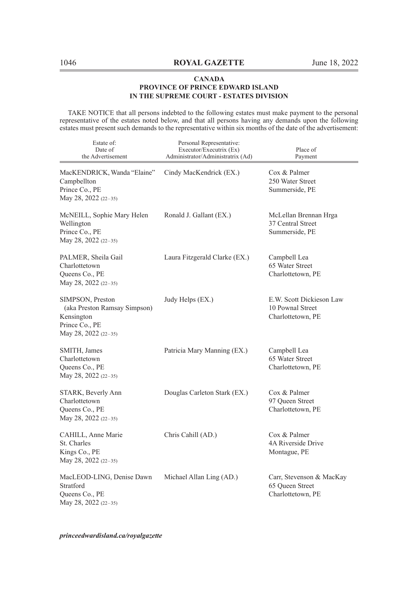TAKE NOTICE that all persons indebted to the following estates must make payment to the personal representative of the estates noted below, and that all persons having any demands upon the following estates must present such demands to the representative within six months of the date of the advertisement:

| Estate of:<br>Date of<br>the Advertisement                                                               | Personal Representative:<br>Executor/Executrix (Ex)<br>Administrator/Administratrix (Ad) | Place of<br>Payment                                               |
|----------------------------------------------------------------------------------------------------------|------------------------------------------------------------------------------------------|-------------------------------------------------------------------|
| MacKENDRICK, Wanda "Elaine"<br>Campbellton<br>Prince Co., PE<br>May 28, 2022 (22-35)                     | Cindy MacKendrick (EX.)                                                                  | Cox & Palmer<br>250 Water Street<br>Summerside, PE                |
| McNEILL, Sophie Mary Helen<br>Wellington<br>Prince Co., PE<br>May 28, 2022 (22-35)                       | Ronald J. Gallant (EX.)                                                                  | McLellan Brennan Hrga<br>37 Central Street<br>Summerside, PE      |
| PALMER, Sheila Gail<br>Charlottetown<br>Queens Co., PE<br>May 28, 2022 (22-35)                           | Laura Fitzgerald Clarke (EX.)                                                            | Campbell Lea<br>65 Water Street<br>Charlottetown, PE              |
| SIMPSON, Preston<br>(aka Preston Ramsay Simpson)<br>Kensington<br>Prince Co., PE<br>May 28, 2022 (22-35) | Judy Helps (EX.)                                                                         | E.W. Scott Dickieson Law<br>10 Pownal Street<br>Charlottetown, PE |
| SMITH, James<br>Charlottetown<br>Queens Co., PE<br>May 28, 2022 (22-35)                                  | Patricia Mary Manning (EX.)                                                              | Campbell Lea<br>65 Water Street<br>Charlottetown, PE              |
| STARK, Beverly Ann<br>Charlottetown<br>Queens Co., PE<br>May 28, 2022 (22-35)                            | Douglas Carleton Stark (EX.)                                                             | Cox & Palmer<br>97 Queen Street<br>Charlottetown, PE              |
| CAHILL, Anne Marie<br>St. Charles<br>Kings Co., PE<br>May 28, 2022 (22-35)                               | Chris Cahill (AD.)                                                                       | Cox & Palmer<br>4A Riverside Drive<br>Montague, PE                |
| MacLEOD-LING, Denise Dawn<br>Stratford<br>Queens Co., PE<br>May 28, 2022 (22-35)                         | Michael Allan Ling (AD.)                                                                 | Carr, Stevenson & MacKay<br>65 Queen Street<br>Charlottetown, PE  |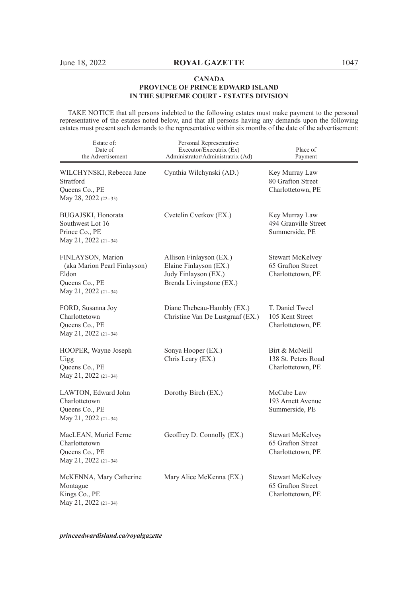TAKE NOTICE that all persons indebted to the following estates must make payment to the personal representative of the estates noted below, and that all persons having any demands upon the following estates must present such demands to the representative within six months of the date of the advertisement:

| Estate of:<br>Date of<br>the Advertisement                                                           | Personal Representative:<br>Executor/Executrix (Ex)<br>Administrator/Administratrix (Ad)              | Place of<br>Payment                                               |
|------------------------------------------------------------------------------------------------------|-------------------------------------------------------------------------------------------------------|-------------------------------------------------------------------|
| WILCHYNSKI, Rebecca Jane<br>Stratford<br>Queens Co., PE<br>May 28, 2022 (22-35)                      | Cynthia Wilchynski (AD.)                                                                              | Key Murray Law<br>80 Grafton Street<br>Charlottetown, PE          |
| BUGAJSKI, Honorata<br>Southwest Lot 16<br>Prince Co., PE<br>May 21, 2022 (21-34)                     | Cvetelin Cvetkov (EX.)                                                                                | Key Murray Law<br>494 Granville Street<br>Summerside, PE          |
| FINLAYSON, Marion<br>(aka Marion Pearl Finlayson)<br>Eldon<br>Queens Co., PE<br>May 21, 2022 (21-34) | Allison Finlayson (EX.)<br>Elaine Finlayson (EX.)<br>Judy Finlayson (EX.)<br>Brenda Livingstone (EX.) | <b>Stewart McKelvey</b><br>65 Grafton Street<br>Charlottetown, PE |
| FORD, Susanna Joy<br>Charlottetown<br>Queens Co., PE<br>May 21, 2022 (21-34)                         | Diane Thebeau-Hambly (EX.)<br>Christine Van De Lustgraaf (EX.)                                        | T. Daniel Tweel<br>105 Kent Street<br>Charlottetown, PE           |
| HOOPER, Wayne Joseph<br>Uigg<br>Queens Co., PE<br>May 21, 2022 (21-34)                               | Sonya Hooper (EX.)<br>Chris Leary (EX.)                                                               | Birt & McNeill<br>138 St. Peters Road<br>Charlottetown, PE        |
| LAWTON, Edward John<br>Charlottetown<br>Queens Co., PE<br>May 21, 2022 (21-34)                       | Dorothy Birch (EX.)                                                                                   | McCabe Law<br>193 Arnett Avenue<br>Summerside, PE                 |
| MacLEAN, Muriel Ferne<br>Charlottetown<br>Queens Co., PE<br>May 21, 2022 (21-34)                     | Geoffrey D. Connolly (EX.)                                                                            | <b>Stewart McKelvey</b><br>65 Grafton Street<br>Charlottetown, PE |
| McKENNA, Mary Catherine<br>Montague<br>Kings Co., PE<br>May 21, 2022 (21-34)                         | Mary Alice McKenna (EX.)                                                                              | <b>Stewart McKelvey</b><br>65 Grafton Street<br>Charlottetown, PE |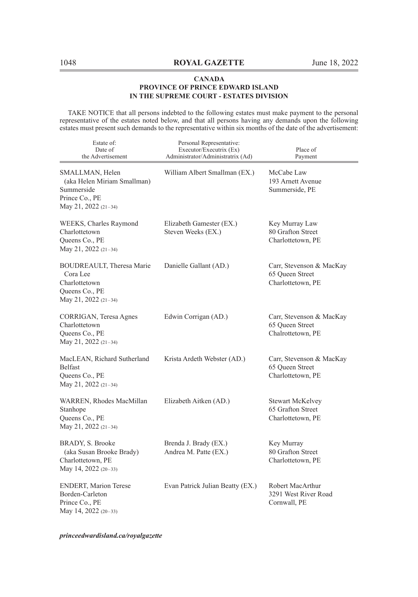TAKE NOTICE that all persons indebted to the following estates must make payment to the personal representative of the estates noted below, and that all persons having any demands upon the following estates must present such demands to the representative within six months of the date of the advertisement:

| Estate of:<br>Date of<br>the Advertisement                                                             | Personal Representative:<br>Executor/Executrix (Ex)<br>Administrator/Administratrix (Ad) | Place of<br>Payment                                               |
|--------------------------------------------------------------------------------------------------------|------------------------------------------------------------------------------------------|-------------------------------------------------------------------|
| SMALLMAN, Helen<br>(aka Helen Miriam Smallman)<br>Summerside<br>Prince Co., PE<br>May 21, 2022 (21-34) | William Albert Smallman (EX.)                                                            | McCabe Law<br>193 Arnett Avenue<br>Summerside, PE                 |
| WEEKS, Charles Raymond<br>Charlottetown<br>Queens Co., PE<br>May 21, 2022 (21-34)                      | Elizabeth Gamester (EX.)<br>Steven Weeks (EX.)                                           | Key Murray Law<br>80 Grafton Street<br>Charlottetown, PE          |
| BOUDREAULT, Theresa Marie<br>Cora Lee<br>Charlottetown<br>Queens Co., PE<br>May 21, 2022 (21-34)       | Danielle Gallant (AD.)                                                                   | Carr, Stevenson & MacKay<br>65 Queen Street<br>Charlottetown, PE  |
| CORRIGAN, Teresa Agnes<br>Charlottetown<br>Queens Co., PE<br>May 21, 2022 (21-34)                      | Edwin Corrigan (AD.)                                                                     | Carr, Stevenson & MacKay<br>65 Oueen Street<br>Chalrottetown, PE  |
| MacLEAN, Richard Sutherland<br>Belfast<br>Queens Co., PE<br>May 21, 2022 (21-34)                       | Krista Ardeth Webster (AD.)                                                              | Carr, Stevenson & MacKay<br>65 Oueen Street<br>Charlottetown, PE  |
| WARREN, Rhodes MacMillan<br>Stanhope<br>Queens Co., PE<br>May 21, 2022 (21-34)                         | Elizabeth Aitken (AD.)                                                                   | <b>Stewart McKelvey</b><br>65 Grafton Street<br>Charlottetown, PE |
| BRADY, S. Brooke<br>(aka Susan Brooke Brady)<br>Charlottetown, PE<br>May 14, 2022 (20-33)              | Brenda J. Brady (EX.)<br>Andrea M. Patte (EX.)                                           | Key Murray<br>80 Grafton Street<br>Charlottetown, PE              |
| <b>ENDERT, Marion Terese</b><br>Borden-Carleton<br>Prince Co., PE<br>May 14, 2022 (20-33)              | Evan Patrick Julian Beatty (EX.)                                                         | Robert MacArthur<br>3291 West River Road<br>Cornwall, PE          |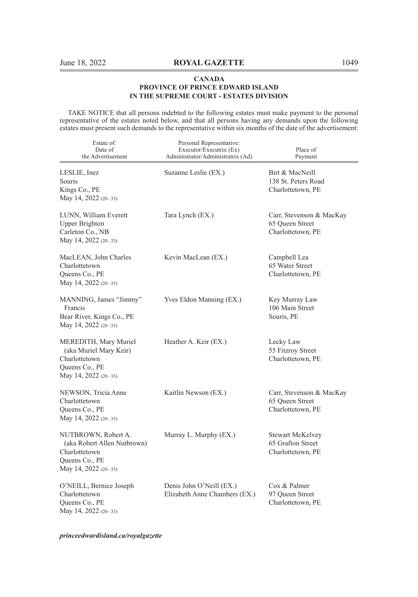TAKE NOTICE that all persons indebted to the following estates must make payment to the personal representative of the estates noted below, and that all persons having any demands upon the following estates must present such demands to the representative within six months of the date of the advertisement:

| Estate of:<br>Date of<br>the Advertisement                                                                    | Personal Representative:<br>Executor/Executrix (Ex)<br>Administrator/Administratrix (Ad) | Place of<br>Payment                                              |
|---------------------------------------------------------------------------------------------------------------|------------------------------------------------------------------------------------------|------------------------------------------------------------------|
| LESLIE, Inez<br>Souris<br>Kings Co., PE<br>May 14, 2022 (20-33)                                               | Suzanne Leslie (EX.)                                                                     | Birt & MacNeill<br>138 St. Peters Road<br>Charlottetown, PE      |
| LUNN, William Everett<br><b>Upper Brighton</b><br>Carleton Co., NB<br>May 14, 2022 (20-33)                    | Tara Lynch (EX.)                                                                         | Carr, Stevenson & MacKay<br>65 Queen Street<br>Charlottetown, PE |
| MacLEAN, John Charles<br>Charlottetown<br>Queens Co., PE<br>May 14, 2022 (20-33)                              | Kevin MacLean (EX.)                                                                      | Campbell Lea<br>65 Water Street<br>Charlottetown, PE             |
| MANNING, James "Jimmy"<br>Francis<br>Bear River, Kings Co., PE<br>May 14, 2022 (20-33)                        | Yves Eldon Manning (EX.)                                                                 | Key Murray Law<br>106 Main Street<br>Souris, PE                  |
| MEREDITH, Mary Muriel<br>(aka Muriel Mary Keir)<br>Charlottetown<br>Queens Co., PE<br>May 14, 2022 (20-33)    | Heather A. Keir (EX.)                                                                    | Lecky Law<br>55 Fitzroy Street<br>Charlottetown, PE              |
| NEWSON, Tricia Anne<br>Charlottetown<br>Queens Co., PE<br>May 14, 2022 $(20-33)$                              | Kaitlin Newson (EX.)                                                                     | Carr, Stevenson & MacKay<br>65 Queen Street<br>Charlottetown, PE |
| NUTBROWN, Robert A.<br>(aka Robert Allen Nutbrown)<br>Charlottetown<br>Queens Co., PE<br>May 14, 2022 (20-33) | Murray L. Murphy (EX.)                                                                   | Stewart McKelvey<br>65 Grafton Street<br>Charlottetown, PE       |
| O'NEILL, Bernice Joseph<br>Charlottetown<br>Queens Co., PE<br>May 14, 2022 (20-33)                            | Denis John O'Neill (EX.)<br>Elizabeth Anne Chambers (EX.)                                | Cox & Palmer<br>97 Oueen Street<br>Charlottetown, PE             |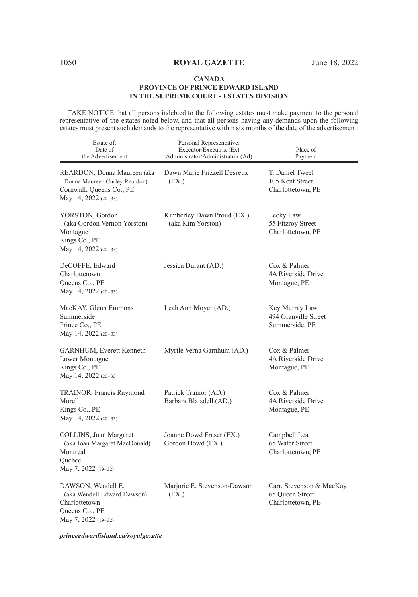TAKE NOTICE that all persons indebted to the following estates must make payment to the personal representative of the estates noted below, and that all persons having any demands upon the following estates must present such demands to the representative within six months of the date of the advertisement:

| Estate of:<br>Date of<br>the Advertisement                                                                         | Personal Representative:<br>Executor/Executrix (Ex)<br>Administrator/Administratrix (Ad) | Place of<br>Payment                                              |
|--------------------------------------------------------------------------------------------------------------------|------------------------------------------------------------------------------------------|------------------------------------------------------------------|
| REARDON, Donna Maureen (aka<br>Donna Maureen Curley Reardon)<br>Cornwall, Queens Co., PE<br>May 14, 2022 $(20-33)$ | Dawn Marie Frizzell Desreux<br>(EX.)                                                     | T. Daniel Tweel<br>105 Kent Street<br>Charlottetown, PE          |
| YORSTON, Gordon<br>(aka Gordon Vernon Yorston)<br>Montague<br>Kings Co., PE<br>May 14, 2022 (20-33)                | Kimberley Dawn Proud (EX.)<br>(aka Kim Yorston)                                          | Lecky Law<br>55 Fitzroy Street<br>Charlottetown, PE              |
| DeCOFFE, Edward<br>Charlottetown<br>Queens Co., PE<br>May 14, 2022 (20-33)                                         | Jessica Durant (AD.)                                                                     | Cox & Palmer<br>4A Riverside Drive<br>Montague, PE               |
| MacKAY, Glenn Emmons<br>Summerside<br>Prince Co., PE<br>May 14, 2022 (20-33)                                       | Leah Ann Moyer (AD.)                                                                     | Key Murray Law<br>494 Granville Street<br>Summerside, PE         |
| GARNHUM, Everett Kenneth<br>Lower Montague<br>Kings Co., PE<br>May 14, 2022 (20-33)                                | Myrtle Verna Garnhum (AD.)                                                               | Cox & Palmer<br>4A Riverside Drive<br>Montague, PE               |
| TRAINOR, Francis Raymond<br>Morell<br>Kings Co., PE<br>May 14, 2022 (20-33)                                        | Patrick Trainor (AD.)<br>Barbara Blaisdell (AD.)                                         | Cox & Palmer<br>4A Riverside Drive<br>Montague, PE               |
| COLLINS, Joan Margaret<br>(aka Joan Margaret MacDonald)<br>Montreal<br>Ouebec<br>May 7, 2022 (19-32)               | Joanne Dowd Fraser (EX.)<br>Gordon Dowd (EX.)                                            | Campbell Lea<br>65 Water Street<br>Charlottetown, PE             |
| DAWSON, Wendell E.<br>(aka Wendell Edward Dawson)<br>Charlottetown<br>Queens Co., PE<br>May 7, 2022 (19-32)        | Marjorie E. Stevenson-Dawson<br>(EX.)                                                    | Carr, Stevenson & MacKay<br>65 Queen Street<br>Charlottetown, PE |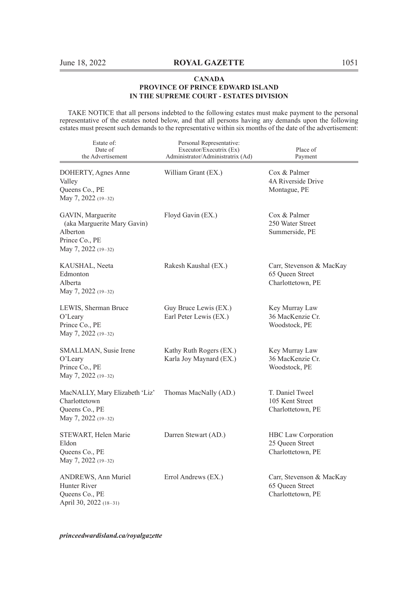TAKE NOTICE that all persons indebted to the following estates must make payment to the personal representative of the estates noted below, and that all persons having any demands upon the following estates must present such demands to the representative within six months of the date of the advertisement:

| Estate of:<br>Date of<br>the Advertisement                                                            | Personal Representative:<br>Executor/Executrix (Ex)<br>Administrator/Administratrix (Ad) | Place of<br>Payment                                              |
|-------------------------------------------------------------------------------------------------------|------------------------------------------------------------------------------------------|------------------------------------------------------------------|
| DOHERTY, Agnes Anne<br>Valley<br>Queens Co., PE<br>May 7, 2022 (19-32)                                | William Grant (EX.)                                                                      | Cox & Palmer<br>4A Riverside Drive<br>Montague, PE               |
| GAVIN, Marguerite<br>(aka Marguerite Mary Gavin)<br>Alberton<br>Prince Co., PE<br>May 7, 2022 (19-32) | Floyd Gavin (EX.)                                                                        | Cox & Palmer<br>250 Water Street<br>Summerside, PE               |
| KAUSHAL, Neeta<br>Edmonton<br>Alberta<br>May 7, 2022 (19-32)                                          | Rakesh Kaushal (EX.)                                                                     | Carr, Stevenson & MacKay<br>65 Queen Street<br>Charlottetown, PE |
| LEWIS, Sherman Bruce<br>O'Leary<br>Prince Co., PE<br>May 7, 2022 (19-32)                              | Guy Bruce Lewis (EX.)<br>Earl Peter Lewis (EX.)                                          | Key Murray Law<br>36 MacKenzie Cr.<br>Woodstock, PE              |
| SMALLMAN, Susie Irene<br>O'Leary<br>Prince Co., PE<br>May 7, 2022 (19-32)                             | Kathy Ruth Rogers (EX.)<br>Karla Joy Maynard (EX.)                                       | Key Murray Law<br>36 MacKenzie Cr.<br>Woodstock, PE              |
| MacNALLY, Mary Elizabeth 'Liz'<br>Charlottetown<br>Queens Co., PE<br>May 7, 2022 (19-32)              | Thomas MacNally (AD.)                                                                    | T. Daniel Tweel<br>105 Kent Street<br>Charlottetown, PE          |
| STEWART, Helen Marie<br>Eldon<br>Queens Co., PE<br>May 7, 2022 (19-32)                                | Darren Stewart (AD.)                                                                     | HBC Law Corporation<br>25 Queen Street<br>Charlottetown, PE      |
| ANDREWS, Ann Muriel<br>Hunter River<br>Queens Co., PE<br>April 30, 2022 (18-31)                       | Errol Andrews (EX.)                                                                      | Carr, Stevenson & MacKay<br>65 Queen Street<br>Charlottetown, PE |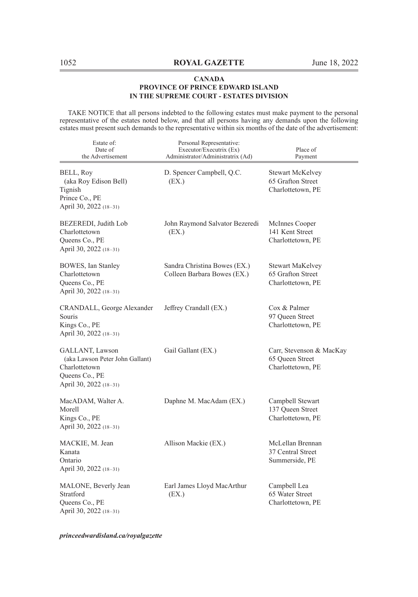TAKE NOTICE that all persons indebted to the following estates must make payment to the personal representative of the estates noted below, and that all persons having any demands upon the following estates must present such demands to the representative within six months of the date of the advertisement:

| Estate of:<br>Date of<br>the Advertisement                                                                      | Personal Representative:<br>Executor/Executrix (Ex)<br>Administrator/Administratrix (Ad) | Place of<br>Payment                                              |
|-----------------------------------------------------------------------------------------------------------------|------------------------------------------------------------------------------------------|------------------------------------------------------------------|
| BELL, Roy<br>(aka Roy Edison Bell)<br>Tignish<br>Prince Co., PE<br>April 30, 2022 (18-31)                       | D. Spencer Campbell, Q.C.<br>(EX.)                                                       | Stewart McKelvey<br>65 Grafton Street<br>Charlottetown, PE       |
| BEZEREDI, Judith Lob<br>Charlottetown<br>Queens Co., PE<br>April 30, 2022 (18-31)                               | John Raymond Salvator Bezeredi<br>(EX.)                                                  | McInnes Cooper<br>141 Kent Street<br>Charlottetown, PE           |
| BOWES, Ian Stanley<br>Charlottetown<br>Queens Co., PE<br>April 30, 2022 (18-31)                                 | Sandra Christina Bowes (EX.)<br>Colleen Barbara Bowes (EX.)                              | Stewart MaKelvey<br>65 Grafton Street<br>Charlottetown, PE       |
| CRANDALL, George Alexander<br>Souris<br>Kings Co., PE<br>April 30, 2022 (18-31)                                 | Jeffrey Crandall (EX.)                                                                   | Cox & Palmer<br>97 Queen Street<br>Charlottetown, PE             |
| GALLANT, Lawson<br>(aka Lawson Peter John Gallant)<br>Charlottetown<br>Queens Co., PE<br>April 30, 2022 (18–31) | Gail Gallant (EX.)                                                                       | Carr, Stevenson & MacKay<br>65 Queen Street<br>Charlottetown, PE |
| MacADAM, Walter A.<br>Morell<br>Kings Co., PE<br>April 30, 2022 (18-31)                                         | Daphne M. MacAdam (EX.)                                                                  | Campbell Stewart<br>137 Queen Street<br>Charlottetown, PE        |
| MACKIE, M. Jean<br>Kanata<br>Ontario<br>April 30, 2022 (18-31)                                                  | Allison Mackie (EX.)                                                                     | McLellan Brennan<br>37 Central Street<br>Summerside, PE          |
| MALONE, Beverly Jean<br>Stratford<br>Queens Co., PE<br>April 30, 2022 (18-31)                                   | Earl James Lloyd MacArthur<br>(EX.)                                                      | Campbell Lea<br>65 Water Street<br>Charlottetown, PE             |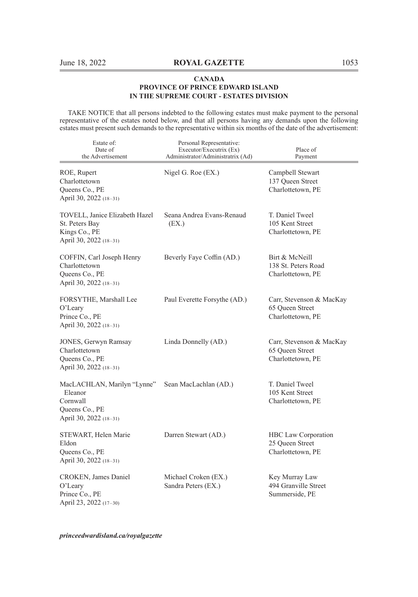TAKE NOTICE that all persons indebted to the following estates must make payment to the personal representative of the estates noted below, and that all persons having any demands upon the following estates must present such demands to the representative within six months of the date of the advertisement:

| Estate of:<br>Date of<br>the Advertisement                                                     | Personal Representative:<br>Executor/Executrix (Ex)<br>Administrator/Administratrix (Ad) | Place of<br>Payment                                              |
|------------------------------------------------------------------------------------------------|------------------------------------------------------------------------------------------|------------------------------------------------------------------|
| ROE, Rupert<br>Charlottetown<br>Queens Co., PE<br>April 30, 2022 (18-31)                       | Nigel G. Roe (EX.)                                                                       | Campbell Stewart<br>137 Queen Street<br>Charlottetown, PE        |
| TOVELL, Janice Elizabeth Hazel<br>St. Peters Bay<br>Kings Co., PE<br>April 30, 2022 (18-31)    | Seana Andrea Evans-Renaud<br>(EX.)                                                       | T. Daniel Tweel<br>105 Kent Street<br>Charlottetown, PE          |
| COFFIN, Carl Joseph Henry<br>Charlottetown<br>Queens Co., PE<br>April 30, 2022 (18-31)         | Beverly Faye Coffin (AD.)                                                                | Birt & McNeill<br>138 St. Peters Road<br>Charlottetown, PE       |
| FORSYTHE, Marshall Lee<br>O'Leary<br>Prince Co., PE<br>April 30, 2022 (18-31)                  | Paul Everette Forsythe (AD.)                                                             | Carr, Stevenson & MacKay<br>65 Queen Street<br>Charlottetown, PE |
| JONES, Gerwyn Ramsay<br>Charlottetown<br>Queens Co., PE<br>April 30, 2022 (18-31)              | Linda Donnelly (AD.)                                                                     | Carr, Stevenson & MacKay<br>65 Queen Street<br>Charlottetown, PE |
| MacLACHLAN, Marilyn "Lynne"<br>Eleanor<br>Cornwall<br>Queens Co., PE<br>April 30, 2022 (18-31) | Sean MacLachlan (AD.)                                                                    | T. Daniel Tweel<br>105 Kent Street<br>Charlottetown, PE          |
| STEWART, Helen Marie<br>Eldon<br>Queens Co., PE<br>April 30, 2022 (18-31)                      | Darren Stewart (AD.)                                                                     | HBC Law Corporation<br>25 Queen Street<br>Charlottetown, PE      |
| CROKEN, James Daniel<br>O'Leary<br>Prince Co., PE<br>April 23, 2022 (17-30)                    | Michael Croken (EX.)<br>Sandra Peters (EX.)                                              | Key Murray Law<br>494 Granville Street<br>Summerside, PE         |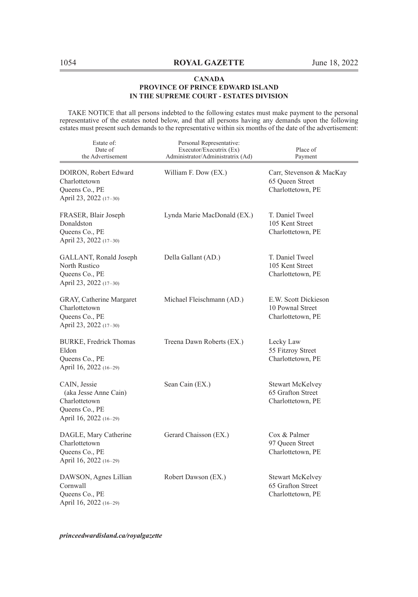TAKE NOTICE that all persons indebted to the following estates must make payment to the personal representative of the estates noted below, and that all persons having any demands upon the following estates must present such demands to the representative within six months of the date of the advertisement:

| Estate of:<br>Date of<br>the Advertisement                                                         | Personal Representative:<br>Executor/Executrix (Ex)<br>Administrator/Administratrix (Ad) | Place of<br>Payment                                               |
|----------------------------------------------------------------------------------------------------|------------------------------------------------------------------------------------------|-------------------------------------------------------------------|
| DOIRON, Robert Edward<br>Charlottetown<br>Queens Co., PE<br>April 23, 2022 (17-30)                 | William F. Dow (EX.)                                                                     | Carr, Stevenson & MacKay<br>65 Queen Street<br>Charlottetown, PE  |
| FRASER, Blair Joseph<br>Donaldston<br>Queens Co., PE<br>April 23, 2022 (17-30)                     | Lynda Marie MacDonald (EX.)                                                              | T. Daniel Tweel<br>105 Kent Street<br>Charlottetown, PE           |
| GALLANT, Ronald Joseph<br>North Rustico<br>Queens Co., PE<br>April 23, 2022 (17-30)                | Della Gallant (AD.)                                                                      | T. Daniel Tweel<br>105 Kent Street<br>Charlottetown, PE           |
| GRAY, Catherine Margaret<br>Charlottetown<br>Queens Co., PE<br>April 23, 2022 (17-30)              | Michael Fleischmann (AD.)                                                                | E.W. Scott Dickieson<br>10 Pownal Street<br>Charlottetown, PE     |
| BURKE, Fredrick Thomas<br>Eldon<br>Queens Co., PE<br>April 16, 2022 (16-29)                        | Treena Dawn Roberts (EX.)                                                                | Lecky Law<br>55 Fitzroy Street<br>Charlottetown, PE               |
| CAIN, Jessie<br>(aka Jesse Anne Cain)<br>Charlottetown<br>Queens Co., PE<br>April 16, 2022 (16-29) | Sean Cain (EX.)                                                                          | <b>Stewart McKelvey</b><br>65 Grafton Street<br>Charlottetown, PE |
| DAGLE, Mary Catherine<br>Charlottetown<br>Queens Co., PE<br>April 16, 2022 (16-29)                 | Gerard Chaisson (EX.)                                                                    | Cox & Palmer<br>97 Queen Street<br>Charlottetown, PE              |
| DAWSON, Agnes Lillian<br>Cornwall<br>Queens Co., PE<br>April 16, 2022 (16-29)                      | Robert Dawson (EX.)                                                                      | Stewart McKelvey<br>65 Grafton Street<br>Charlottetown, PE        |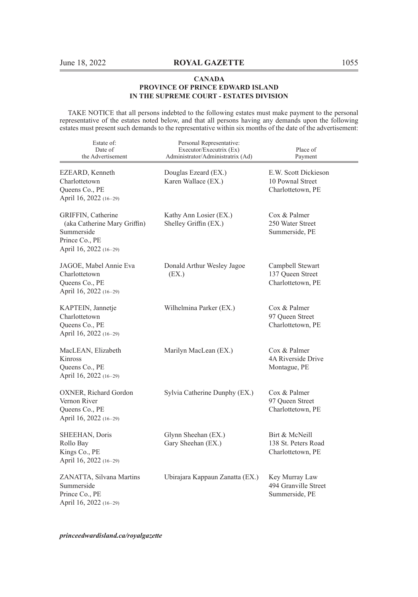TAKE NOTICE that all persons indebted to the following estates must make payment to the personal representative of the estates noted below, and that all persons having any demands upon the following estates must present such demands to the representative within six months of the date of the advertisement:

| Estate of:<br>Date of<br>the Advertisement                                                                   | Personal Representative:<br>Executor/Executrix (Ex)<br>Administrator/Administratrix (Ad) | Place of<br>Payment                                           |
|--------------------------------------------------------------------------------------------------------------|------------------------------------------------------------------------------------------|---------------------------------------------------------------|
| EZEARD, Kenneth<br>Charlottetown<br>Queens Co., PE<br>April 16, 2022 (16-29)                                 | Douglas Ezeard (EX.)<br>Karen Wallace (EX.)                                              | E.W. Scott Dickieson<br>10 Pownal Street<br>Charlottetown, PE |
| GRIFFIN, Catherine<br>(aka Catherine Mary Griffin)<br>Summerside<br>Prince Co., PE<br>April 16, 2022 (16-29) | Kathy Ann Losier (EX.)<br>Shelley Griffin (EX.)                                          | Cox & Palmer<br>250 Water Street<br>Summerside, PE            |
| JAGOE, Mabel Annie Eva<br>Charlottetown<br>Queens Co., PE<br>April 16, 2022 (16-29)                          | Donald Arthur Wesley Jagoe<br>(EX.)                                                      | Campbell Stewart<br>137 Queen Street<br>Charlottetown, PE     |
| KAPTEIN, Jannetje<br>Charlottetown<br>Queens Co., PE<br>April 16, 2022 (16-29)                               | Wilhelmina Parker (EX.)                                                                  | Cox & Palmer<br>97 Queen Street<br>Charlottetown, PE          |
| MacLEAN, Elizabeth<br>Kinross<br>Queens Co., PE<br>April 16, 2022 (16-29)                                    | Marilyn MacLean (EX.)                                                                    | Cox & Palmer<br>4A Riverside Drive<br>Montague, PE            |
| OXNER, Richard Gordon<br>Vernon River<br>Queens Co., PE<br>April 16, 2022 (16-29)                            | Sylvia Catherine Dunphy (EX.)                                                            | Cox & Palmer<br>97 Queen Street<br>Charlottetown, PE          |
| SHEEHAN, Doris<br>Rollo Bay<br>Kings Co., PE<br>April 16, 2022 (16-29)                                       | Glynn Sheehan (EX.)<br>Gary Sheehan (EX.)                                                | Birt & McNeill<br>138 St. Peters Road<br>Charlottetown, PE    |
| ZANATTA, Silvana Martins<br>Summerside<br>Prince Co., PE<br>April 16, 2022 (16-29)                           | Ubirajara Kappaun Zanatta (EX.)                                                          | Key Murray Law<br>494 Granville Street<br>Summerside, PE      |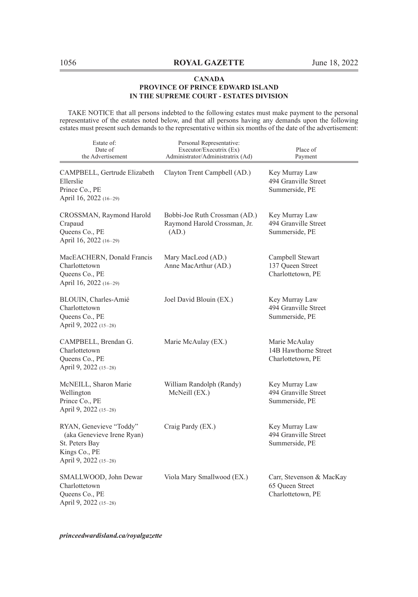TAKE NOTICE that all persons indebted to the following estates must make payment to the personal representative of the estates noted below, and that all persons having any demands upon the following estates must present such demands to the representative within six months of the date of the advertisement:

| Estate of:<br>Date of<br>the Advertisement                                                                        | Personal Representative:<br>Executor/Executrix (Ex)<br>Administrator/Administratrix (Ad) | Place of<br>Payment                                              |
|-------------------------------------------------------------------------------------------------------------------|------------------------------------------------------------------------------------------|------------------------------------------------------------------|
| CAMPBELL, Gertrude Elizabeth<br>Ellerslie<br>Prince Co., PE<br>April 16, 2022 (16-29)                             | Clayton Trent Campbell (AD.)                                                             | Key Murray Law<br>494 Granville Street<br>Summerside, PE         |
| CROSSMAN, Raymond Harold<br>Crapaud<br>Queens Co., PE<br>April 16, 2022 (16-29)                                   | Bobbi-Joe Ruth Crossman (AD.)<br>Raymond Harold Crossman, Jr.<br>(AD.)                   | Key Murray Law<br>494 Granville Street<br>Summerside, PE         |
| MacEACHERN, Donald Francis<br>Charlottetown<br>Queens Co., PE<br>April 16, 2022 (16-29)                           | Mary MacLeod (AD.)<br>Anne MacArthur (AD.)                                               | Campbell Stewart<br>137 Queen Street<br>Charlottetown, PE        |
| BLOUIN, Charles-Amié<br>Charlottetown<br>Queens Co., PE<br>April 9, 2022 (15-28)                                  | Joel David Blouin (EX.)                                                                  | Key Murray Law<br>494 Granville Street<br>Summerside, PE         |
| CAMPBELL, Brendan G.<br>Charlottetown<br>Queens Co., PE<br>April 9, 2022 (15-28)                                  | Marie McAulay (EX.)                                                                      | Marie McAulay<br>14B Hawthorne Street<br>Charlottetown, PE       |
| McNEILL, Sharon Marie<br>Wellington<br>Prince Co., PE<br>April 9, 2022 (15-28)                                    | William Randolph (Randy)<br>McNeill (EX.)                                                | Key Murray Law<br>494 Granville Street<br>Summerside, PE         |
| RYAN, Genevieve "Toddy"<br>(aka Genevieve Irene Ryan)<br>St. Peters Bay<br>Kings Co., PE<br>April 9, 2022 (15-28) | Craig Pardy (EX.)                                                                        | Key Murray Law<br>494 Granville Street<br>Summerside, PE         |
| SMALLWOOD, John Dewar<br>Charlottetown<br>Queens Co., PE<br>April 9, 2022 (15-28)                                 | Viola Mary Smallwood (EX.)                                                               | Carr, Stevenson & MacKay<br>65 Queen Street<br>Charlottetown, PE |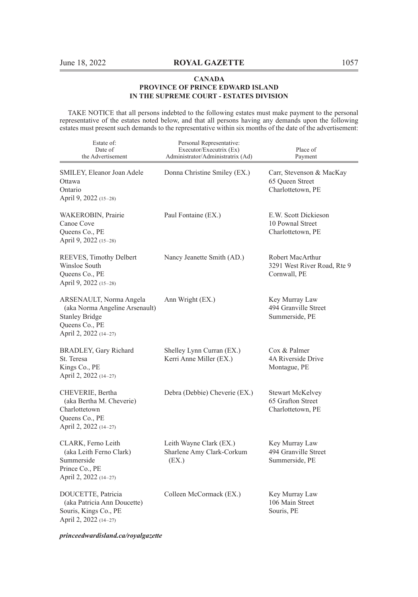TAKE NOTICE that all persons indebted to the following estates must make payment to the personal representative of the estates noted below, and that all persons having any demands upon the following estates must present such demands to the representative within six months of the date of the advertisement:

| Estate of:<br>Date of<br>the Advertisement                                                                                    | Personal Representative:<br>Executor/Executrix (Ex)<br>Administrator/Administratrix (Ad) | Place of<br>Payment                                              |
|-------------------------------------------------------------------------------------------------------------------------------|------------------------------------------------------------------------------------------|------------------------------------------------------------------|
| SMILEY, Eleanor Joan Adele<br>Ottawa<br>Ontario<br>April 9, 2022 (15–28)                                                      | Donna Christine Smiley (EX.)                                                             | Carr, Stevenson & MacKay<br>65 Queen Street<br>Charlottetown, PE |
| WAKEROBIN, Prairie<br>Canoe Cove<br>Queens Co., PE<br>April 9, 2022 (15-28)                                                   | Paul Fontaine (EX.)                                                                      | E.W. Scott Dickieson<br>10 Pownal Street<br>Charlottetown, PE    |
| REEVES, Timothy Delbert<br>Winsloe South<br>Queens Co., PE<br>April 9, 2022 (15-28)                                           | Nancy Jeanette Smith (AD.)                                                               | Robert MacArthur<br>3291 West River Road, Rte 9<br>Cornwall, PE  |
| ARSENAULT, Norma Angela<br>(aka Norma Angeline Arsenault)<br><b>Stanley Bridge</b><br>Queens Co., PE<br>April 2, 2022 (14-27) | Ann Wright (EX.)                                                                         | Key Murray Law<br>494 Granville Street<br>Summerside, PE         |
| BRADLEY, Gary Richard<br>St. Teresa<br>Kings Co., PE<br>April 2, 2022 (14-27)                                                 | Shelley Lynn Curran (EX.)<br>Kerri Anne Miller (EX.)                                     | Cox & Palmer<br>4A Riverside Drive<br>Montague, PE               |
| CHEVERIE, Bertha<br>(aka Bertha M. Cheverie)<br>Charlottetown<br>Queens Co., PE<br>April 2, 2022 (14–27)                      | Debra (Debbie) Cheverie (EX.)                                                            | Stewart McKelvey<br>65 Grafton Street<br>Charlottetown, PE       |
| CLARK, Ferno Leith<br>(aka Leith Ferno Clark)<br>Summerside<br>Prince Co., PE<br>April 2, 2022 (14-27)                        | Leith Wayne Clark (EX.)<br>Sharlene Amy Clark-Corkum<br>(EX.)                            | Key Murray Law<br>494 Granville Street<br>Summerside, PE         |
| DOUCETTE, Patricia<br>(aka Patricia Ann Doucette)<br>Souris, Kings Co., PE<br>April 2, 2022 (14-27)                           | Colleen McCormack (EX.)                                                                  | Key Murray Law<br>106 Main Street<br>Souris, PE                  |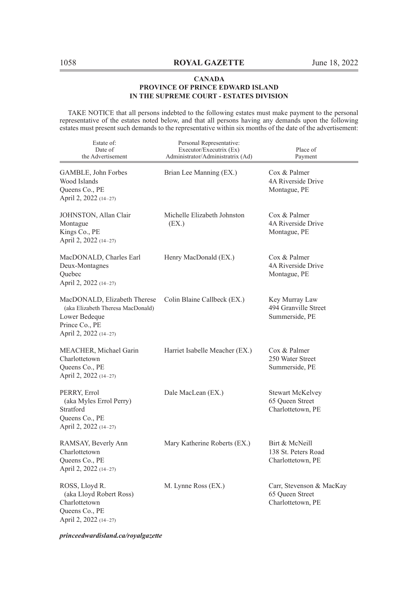TAKE NOTICE that all persons indebted to the following estates must make payment to the personal representative of the estates noted below, and that all persons having any demands upon the following estates must present such demands to the representative within six months of the date of the advertisement:

| Estate of:<br>Date of<br>the Advertisement                                                                                    | Personal Representative:<br>Executor/Executrix (Ex)<br>Administrator/Administratrix (Ad) | Place of<br>Payment                                              |
|-------------------------------------------------------------------------------------------------------------------------------|------------------------------------------------------------------------------------------|------------------------------------------------------------------|
| GAMBLE, John Forbes<br>Wood Islands<br>Queens Co., PE<br>April 2, 2022 (14-27)                                                | Brian Lee Manning (EX.)                                                                  | Cox & Palmer<br>4A Riverside Drive<br>Montague, PE               |
| JOHNSTON, Allan Clair<br>Montague<br>Kings Co., PE<br>April 2, 2022 (14-27)                                                   | Michelle Elizabeth Johnston<br>(EX.)                                                     | Cox & Palmer<br>4A Riverside Drive<br>Montague, PE               |
| MacDONALD, Charles Earl<br>Deux-Montagnes<br>Quebec<br>April 2, 2022 (14–27)                                                  | Henry MacDonald (EX.)                                                                    | Cox & Palmer<br>4A Riverside Drive<br>Montague, PE               |
| MacDONALD, Elizabeth Therese<br>(aka Elizabeth Theresa MacDonald)<br>Lower Bedeque<br>Prince Co., PE<br>April 2, 2022 (14-27) | Colin Blaine Callbeck (EX.)                                                              | Key Murray Law<br>494 Granville Street<br>Summerside, PE         |
| MEACHER, Michael Garin<br>Charlottetown<br>Queens Co., PE<br>April 2, 2022 (14-27)                                            | Harriet Isabelle Meacher (EX.)                                                           | Cox & Palmer<br>250 Water Street<br>Summerside, PE               |
| PERRY, Errol<br>(aka Myles Errol Perry)<br>Stratford<br>Queens Co., PE<br>April 2, 2022 (14-27)                               | Dale MacLean (EX.)                                                                       | <b>Stewart McKelvey</b><br>65 Queen Street<br>Charlottetown, PE  |
| RAMSAY, Beverly Ann<br>Charlottetown<br>Queens Co., PE<br>April 2, 2022 (14-27)                                               | Mary Katherine Roberts (EX.)                                                             | Birt & McNeill<br>138 St. Peters Road<br>Charlottetown, PE       |
| ROSS, Lloyd R.<br>(aka Lloyd Robert Ross)<br>Charlottetown<br>Queens Co., PE<br>April 2, 2022 (14–27)                         | M. Lynne Ross (EX.)                                                                      | Carr, Stevenson & MacKay<br>65 Oueen Street<br>Charlottetown, PE |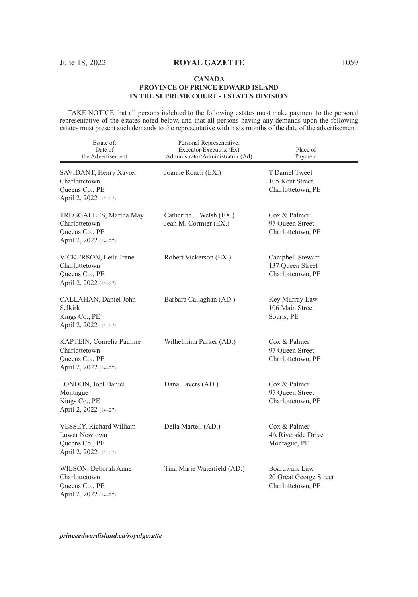TAKE NOTICE that all persons indebted to the following estates must make payment to the personal representative of the estates noted below, and that all persons having any demands upon the following estates must present such demands to the representative within six months of the date of the advertisement:

| Estate of:<br>Date of<br>the Advertisement                                            | Personal Representative:<br>Executor/Executrix (Ex)<br>Administrator/Administratrix (Ad) | Place of<br>Payment                                          |
|---------------------------------------------------------------------------------------|------------------------------------------------------------------------------------------|--------------------------------------------------------------|
| SAVIDANT, Henry Xavier<br>Charlottetown<br>Queens Co., PE<br>April 2, 2022 (14-27)    | Joanne Roach (EX.)                                                                       | T Daniel Tweel<br>105 Kent Street<br>Charlottetown, PE       |
| TREGGALLES, Martha May<br>Charlottetown<br>Queens Co., PE<br>April 2, 2022 (14-27)    | Catherine J. Welsh (EX.)<br>Jean M. Cormier (EX.)                                        | Cox & Palmer<br>97 Queen Street<br>Charlottetown, PE         |
| VICKERSON, Leila Irene<br>Charlottetown<br>Queens Co., PE<br>April 2, 2022 (14-27)    | Robert Vickerson (EX.)                                                                   | Campbell Stewart<br>137 Queen Street<br>Charlottetown, PE    |
| CALLAHAN, Daniel John<br>Selkirk<br>Kings Co., PE<br>April 2, 2022 (14-27)            | Barbara Callaghan (AD.)                                                                  | Key Murray Law<br>106 Main Street<br>Souris, PE              |
| KAPTEIN, Cornelia Pauline<br>Charlottetown<br>Queens Co., PE<br>April 2, 2022 (14-27) | Wilhelmina Parker (AD.)                                                                  | Cox & Palmer<br>97 Queen Street<br>Charlottetown, PE         |
| LONDON, Joel Daniel<br>Montague<br>Kings Co., PE<br>April 2, 2022 (14-27)             | Dana Lavers (AD.)                                                                        | Cox & Palmer<br>97 Queen Street<br>Charlottetown, PE         |
| VESSEY, Richard William<br>Lower Newtown<br>Queens Co., PE<br>April 2, 2022 (14-27)   | Della Martell (AD.)                                                                      | Cox & Palmer<br>4A Riverside Drive<br>Montague, PE           |
| WILSON, Deborah Anne<br>Charlottetown<br>Queens Co., PE<br>April 2, 2022 (14-27)      | Tina Marie Waterfield (AD.)                                                              | Boardwalk Law<br>20 Great George Street<br>Charlottetown, PE |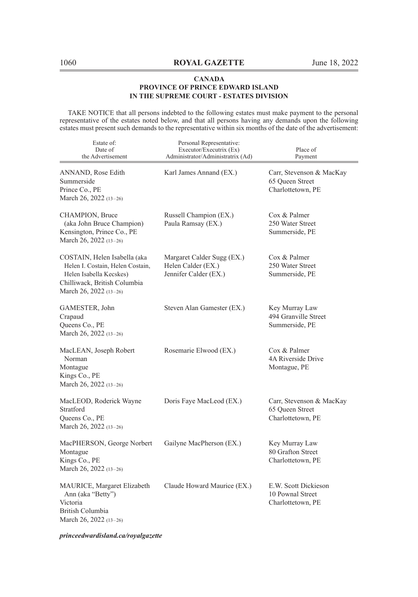TAKE NOTICE that all persons indebted to the following estates must make payment to the personal representative of the estates noted below, and that all persons having any demands upon the following estates must present such demands to the representative within six months of the date of the advertisement:

| Estate of:<br>Date of<br>the Advertisement                                                                                                            | Personal Representative:<br>Executor/Executrix (Ex)<br>Administrator/Administratrix (Ad) | Place of<br>Payment                                              |
|-------------------------------------------------------------------------------------------------------------------------------------------------------|------------------------------------------------------------------------------------------|------------------------------------------------------------------|
| ANNAND, Rose Edith<br>Summerside<br>Prince Co., PE<br>March 26, 2022 (13-26)                                                                          | Karl James Annand (EX.)                                                                  | Carr, Stevenson & MacKay<br>65 Oueen Street<br>Charlottetown, PE |
| CHAMPION, Bruce<br>(aka John Bruce Champion)<br>Kensington, Prince Co., PE<br>March 26, 2022 (13-26)                                                  | Russell Champion (EX.)<br>Paula Ramsay (EX.)                                             | Cox & Palmer<br>250 Water Street<br>Summerside, PE               |
| COSTAIN, Helen Isabella (aka<br>Helen I. Costain, Helen Costain,<br>Helen Isabella Kecskes)<br>Chilliwack, British Columbia<br>March 26, 2022 (13-26) | Margaret Calder Sugg (EX.)<br>Helen Calder (EX.)<br>Jennifer Calder (EX.)                | Cox & Palmer<br>250 Water Street<br>Summerside, PE               |
| GAMESTER, John<br>Crapaud<br>Queens Co., PE<br>March 26, 2022 (13-26)                                                                                 | Steven Alan Gamester (EX.)                                                               | Key Murray Law<br>494 Granville Street<br>Summerside, PE         |
| MacLEAN, Joseph Robert<br>Norman<br>Montague<br>Kings Co., PE<br>March 26, 2022 (13-26)                                                               | Rosemarie Elwood (EX.)                                                                   | Cox & Palmer<br>4A Riverside Drive<br>Montague, PE               |
| MacLEOD, Roderick Wayne<br>Stratford<br>Queens Co., PE<br>March 26, 2022 (13-26)                                                                      | Doris Faye MacLeod (EX.)                                                                 | Carr, Stevenson & MacKay<br>65 Oueen Street<br>Charlottetown, PE |
| MacPHERSON, George Norbert<br>Montague<br>Kings Co., PE<br>March 26, 2022 (13-26)                                                                     | Gailyne MacPherson (EX.)                                                                 | Key Murray Law<br>80 Grafton Street<br>Charlottetown, PE         |
| MAURICE, Margaret Elizabeth<br>Ann (aka "Betty")<br>Victoria<br>British Columbia<br>March 26, 2022 (13–26)                                            | Claude Howard Maurice (EX.)                                                              | E.W. Scott Dickieson<br>10 Pownal Street<br>Charlottetown, PE    |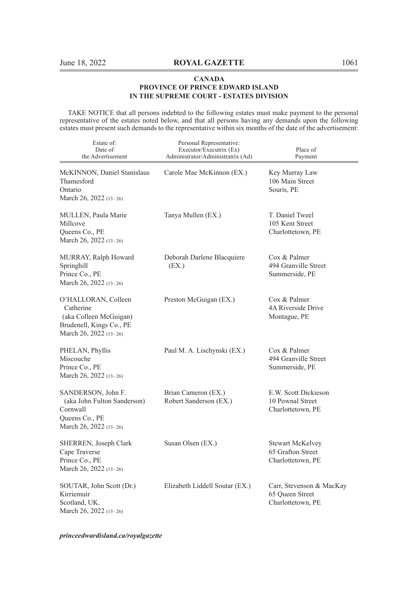TAKE NOTICE that all persons indebted to the following estates must make payment to the personal representative of the estates noted below, and that all persons having any demands upon the following estates must present such demands to the representative within six months of the date of the advertisement:

| Estate of:<br>Date of<br>the Advertisement                                                                       | Personal Representative:<br>Executor/Executrix (Ex)<br>Administrator/Administratrix (Ad) | Place of<br>Payment                                              |
|------------------------------------------------------------------------------------------------------------------|------------------------------------------------------------------------------------------|------------------------------------------------------------------|
| McKINNON, Daniel Stanislaus<br>Thamesford<br>Ontario<br>March 26, 2022 (13-26)                                   | Carole Mae McKinnon (EX.)                                                                | Key Murray Law<br>106 Main Street<br>Souris, PE                  |
| MULLEN, Paula Marie<br>Millcove<br>Queens Co., PE<br>March 26, 2022 (13-26)                                      | Tanya Mullen (EX.)                                                                       | T. Daniel Tweel<br>105 Kent Street<br>Charlottetown, PE          |
| MURRAY, Ralph Howard<br>Springhill<br>Prince Co., PE<br>March 26, 2022 (13-26)                                   | Deborah Darlene Blacquiere<br>(EX.)                                                      | Cox & Palmer<br>494 Granville Street<br>Summerside, PE           |
| O'HALLORAN, Colleen<br>Catherine<br>(aka Colleen McGuigan)<br>Brudenell, Kings Co., PE<br>March 26, 2022 (13-26) | Preston McGuigan (EX.)                                                                   | Cox & Palmer<br>4A Riverside Drive<br>Montague, PE               |
| PHELAN, Phyllis<br>Miscouche<br>Prince Co., PE<br>March 26, 2022 (13-26)                                         | Paul M. A. Lischynski (EX.)                                                              | Cox & Palmer<br>494 Granville Street<br>Summerside, PE           |
| SANDERSON, John F.<br>(aka John Fulton Sanderson)<br>Cornwall<br>Queens Co., PE<br>March 26, 2022 (13-26)        | Brian Cameron (EX.)<br>Robert Sanderson (EX.)                                            | E.W. Scott Dickieson<br>10 Pownal Street<br>Charlottetown, PE    |
| SHERREN, Joseph Clark<br>Cape Traverse<br>Prince Co., PE<br>March 26, 2022 (13-26)                               | Susan Olsen (EX.)                                                                        | Stewart McKelvey<br>65 Grafton Street<br>Charlottetown, PE       |
| SOUTAR, John Scott (Dr.)<br>Kirriemuir<br>Scotland, UK.<br>March 26, 2022 (13-26)                                | Elizabeth Liddell Soutar (EX.)                                                           | Carr, Stevenson & MacKay<br>65 Oueen Street<br>Charlottetown, PE |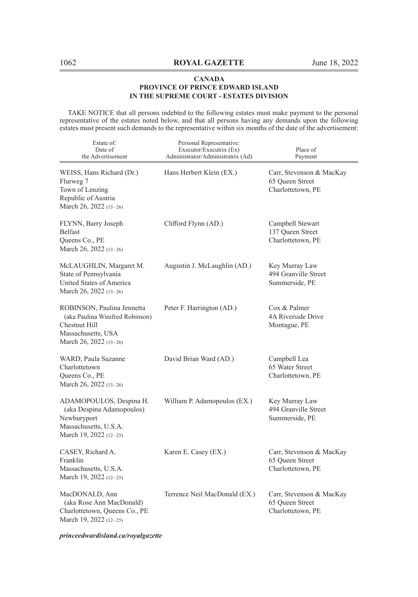TAKE NOTICE that all persons indebted to the following estates must make payment to the personal representative of the estates noted below, and that all persons having any demands upon the following estates must present such demands to the representative within six months of the date of the advertisement:

| Estate of:<br>Date of<br>the Advertisement                                                                                     | Personal Representative:<br>Executor/Executrix (Ex)<br>Administrator/Administratrix (Ad) | Place of<br>Payment                                              |
|--------------------------------------------------------------------------------------------------------------------------------|------------------------------------------------------------------------------------------|------------------------------------------------------------------|
| WEISS, Hans Richard (Dr.)<br>Flurweg 7<br>Town of Lenzing<br>Republic of Austria<br>March 26, 2022 (13-26)                     | Hans Herbert Klein (EX.)                                                                 | Carr, Stevenson & MacKay<br>65 Queen Street<br>Charlottetown, PE |
| FLYNN, Barry Joseph<br>Belfast<br>Queens Co., PE<br>March 26, 2022 (13-26)                                                     | Clifford Flynn (AD.)                                                                     | Campbell Stewart<br>137 Queen Street<br>Charlottetown, PE        |
| McLAUGHLIN, Margaret M.<br>State of Pennsylvania<br>United States of America<br>March 26, 2022 (13-26)                         | Augustin J. McLaughlin (AD.)                                                             | Key Murray Law<br>494 Granville Street<br>Summerside, PE         |
| ROBINSON, Paulina Jennetta<br>(aka Paulina Winifred Robinson)<br>Chestnut Hill<br>Massachusetts, USA<br>March 26, 2022 (13-26) | Peter F. Harrington (AD.)                                                                | Cox & Palmer<br>4A Riverside Drive<br>Montague, PE               |
| WARD, Paula Suzanne<br>Charlottetown<br>Queens Co., PE<br>March 26, 2022 (13-26)                                               | David Brian Ward (AD.)                                                                   | Campbell Lea<br>65 Water Street<br>Charlottetown, PE             |
| ADAMOPOULOS, Despina H.<br>(aka Despina Adamopoulos)<br>Newburyport<br>Massachusetts, U.S.A.<br>March 19, 2022 (12-25)         | William P. Adamopoulos (EX.)                                                             | Key Murray Law<br>494 Granville Street<br>Summerside, PE         |
| CASEY, Richard A.<br>Franklin<br>Massachusetts, U.S.A.<br>March 19, 2022 (12-25)                                               | Karen E. Casey (EX.)                                                                     | Carr, Stevenson & MacKay<br>65 Queen Street<br>Charlottetown, PE |
| MacDONALD, Ann<br>(aka Rose Ann MacDonald)<br>Charlottetown, Queens Co., PE<br>March 19, 2022 (12-25)                          | Terrence Neil MacDonald (EX.)                                                            | Carr, Stevenson & MacKay<br>65 Queen Street<br>Charlottetown, PE |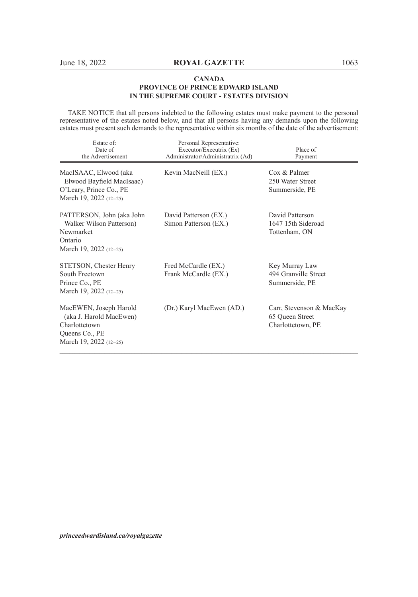TAKE NOTICE that all persons indebted to the following estates must make payment to the personal representative of the estates noted below, and that all persons having any demands upon the following estates must present such demands to the representative within six months of the date of the advertisement:

| Estate of:<br>Date of<br>the Advertisement                                                                       | Personal Representative:<br>Executor/Executrix (Ex)<br>Administrator/Administratrix (Ad) | Place of<br>Payment                                              |
|------------------------------------------------------------------------------------------------------------------|------------------------------------------------------------------------------------------|------------------------------------------------------------------|
| MacISAAC, Elwood (aka<br>Elwood Bayfield MacIsaac)<br>O'Leary, Prince Co., PE<br>March 19, 2022 $(12-25)$        | Kevin MacNeill (EX.)                                                                     | $\cos \&$ Palmer<br>250 Water Street<br>Summerside, PE           |
| PATTERSON, John (aka John<br>Walker Wilson Patterson)<br>Newmarket<br>Ontario<br>March 19, 2022 $(12-25)$        | David Patterson (EX.)<br>Simon Patterson (EX.)                                           | David Patterson<br>1647 15th Sideroad<br>Tottenham, ON           |
| STETSON, Chester Henry<br>South Freetown<br>Prince Co., PE<br>March 19, 2022 $(12-25)$                           | Fred McCardle (EX.)<br>Frank McCardle (EX.)                                              | Key Murray Law<br>494 Granville Street<br>Summerside, PE         |
| MacEWEN, Joseph Harold<br>(aka J. Harold MacEwen)<br>Charlottetown<br>Queens Co., PE<br>March 19, 2022 $(12-25)$ | (Dr.) Karyl MacEwen (AD.)                                                                | Carr, Stevenson & MacKay<br>65 Queen Street<br>Charlottetown, PE |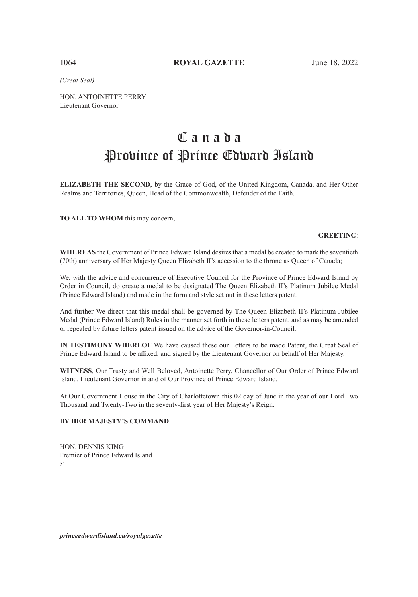*(Great Seal)*

HON. ANTOINETTE PERRY Lieutenant Governor

# C a n a d a Province of Prince Edward Island

**ELIZABETH THE SECOND**, by the Grace of God, of the United Kingdom, Canada, and Her Other Realms and Territories, Queen, Head of the Commonwealth, Defender of the Faith.

**TO ALL TO WHOM** this may concern,

#### **GREETING**:

**WHEREAS** the Government of Prince Edward Island desires that a medal be created to mark the seventieth (70th) anniversary of Her Majesty Queen Elizabeth II's accession to the throne as Queen of Canada;

We, with the advice and concurrence of Executive Council for the Province of Prince Edward Island by Order in Council, do create a medal to be designated The Queen Elizabeth II's Platinum Jubilee Medal (Prince Edward Island) and made in the form and style set out in these letters patent.

And further We direct that this medal shall be governed by The Queen Elizabeth II's Platinum Jubilee Medal (Prince Edward Island) Rules in the manner set forth in these letters patent, and as may be amended or repealed by future letters patent issued on the advice of the Governor-in-Council.

**IN TESTIMONY WHEREOF** We have caused these our Letters to be made Patent, the Great Seal of Prince Edward Island to be affixed, and signed by the Lieutenant Governor on behalf of Her Majesty.

**WITNESS**, Our Trusty and Well Beloved, Antoinette Perry, Chancellor of Our Order of Prince Edward Island, Lieutenant Governor in and of Our Province of Prince Edward Island.

At Our Government House in the City of Charlottetown this 02 day of June in the year of our Lord Two Thousand and Twenty-Two in the seventy-first year of Her Majesty's Reign.

### **BY HER MAJESTY'S COMMAND**

HON. DENNIS KING Premier of Prince Edward Island  $25$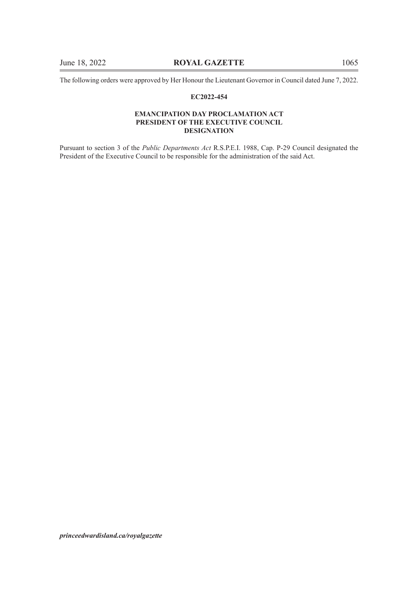The following orders were approved by Her Honour the Lieutenant Governor in Council dated June 7, 2022.

#### **EC2022-454**

#### **EMANCIPATION DAY PROCLAMATION ACT PRESIDENT OF THE EXECUTIVE COUNCIL DESIGNATION**

Pursuant to section 3 of the *Public Departments Act* R.S.P.E.I. 1988, Cap. P-29 Council designated the President of the Executive Council to be responsible for the administration of the said Act.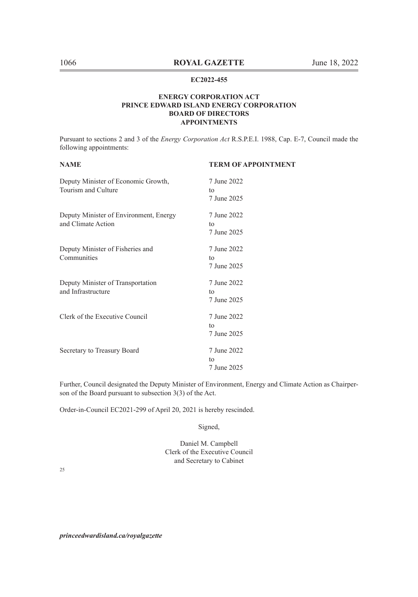#### **EC2022-455**

#### **ENERGY CORPORATION ACT PRINCE EDWARD ISLAND ENERGY CORPORATION BOARD OF DIRECTORS APPOINTMENTS**

Pursuant to sections 2 and 3 of the *Energy Corporation Act* R.S.P.E.I. 1988, Cap. E-7, Council made the following appointments:

| <b>NAME</b>                            | <b>TERM OF APPOINTMENT</b> |
|----------------------------------------|----------------------------|
| Deputy Minister of Economic Growth,    | 7 June 2022                |
| Tourism and Culture                    | to                         |
|                                        | 7 June 2025                |
| Deputy Minister of Environment, Energy | 7 June 2022                |
| and Climate Action                     | tο                         |
|                                        | 7 June 2025                |
| Deputy Minister of Fisheries and       | 7 June 2022                |
| Communities                            | to                         |
|                                        | 7 June 2025                |
| Deputy Minister of Transportation      | 7 June 2022                |
| and Infrastructure                     | to                         |
|                                        | 7 June 2025                |
| Clerk of the Executive Council         | 7 June 2022                |
|                                        | to                         |
|                                        | 7 June 2025                |
| Secretary to Treasury Board            | 7 June 2022                |
|                                        | to                         |
|                                        | 7 June 2025                |
|                                        |                            |

Further, Council designated the Deputy Minister of Environment, Energy and Climate Action as Chairperson of the Board pursuant to subsection 3(3) of the Act.

Order-in-Council EC2021-299 of April 20, 2021 is hereby rescinded.

Signed,

Daniel M. Campbell Clerk of the Executive Council and Secretary to Cabinet

25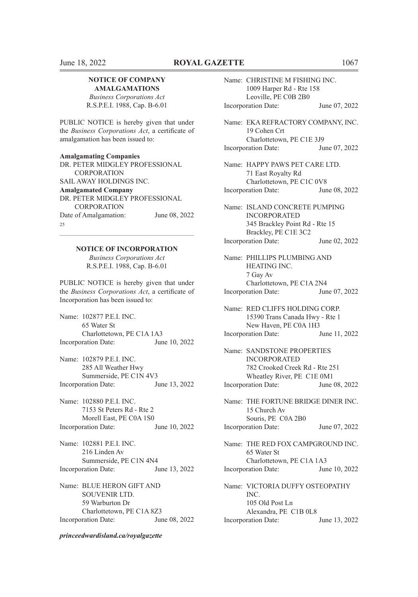#### **NOTICE OF COMPANY AMALGAMATIONS**

*Business Corporations Act* R.S.P.E.I. 1988, Cap. B-6.01

PUBLIC NOTICE is hereby given that under the *Business Corporations Act*, a certificate of amalgamation has been issued to:

**Amalgamating Companies** DR. PETER MIDGLEY PROFESSIONAL CORPORATION SAIL AWAY HOLDINGS INC. **Amalgamated Company** DR. PETER MIDGLEY PROFESSIONAL CORPORATION Date of Amalgamation: June 08, 2022 25

# $\mathcal{L}_\text{max} = \mathcal{L}_\text{max} = \mathcal{L}_\text{max} = \mathcal{L}_\text{max} = \mathcal{L}_\text{max} = \mathcal{L}_\text{max} = \mathcal{L}_\text{max} = \mathcal{L}_\text{max} = \mathcal{L}_\text{max} = \mathcal{L}_\text{max} = \mathcal{L}_\text{max} = \mathcal{L}_\text{max} = \mathcal{L}_\text{max} = \mathcal{L}_\text{max} = \mathcal{L}_\text{max} = \mathcal{L}_\text{max} = \mathcal{L}_\text{max} = \mathcal{L}_\text{max} = \mathcal{$ **NOTICE OF INCORPORATION**

*Business Corporations Act* R.S.P.E.I. 1988, Cap. B-6.01

PUBLIC NOTICE is hereby given that under the *Business Corporations Act*, a certificate of Incorporation has been issued to:

Name: 102877 P.E.I. INC. 65 Water St Charlottetown, PE C1A 1A3 Incorporation Date: June 10, 2022

Name: 102879 P.E.I. INC. 285 All Weather Hwy Summerside, PE C1N 4V3<br>ration Date: June 13, 2022 Incorporation Date:

Name: 102880 P.E.I. INC. 7153 St Peters Rd - Rte 2 Morell East, PE C0A 1S0<br>ration Date: June 10, 2022 Incorporation Date:

Name: 102881 P.E.I. INC. 216 Linden Av Summerside, PE C1N 4N4 Incorporation Date: June 13, 2022

Name: BLUE HERON GIFT AND SOUVENIR LTD. 59 Warburton Dr Charlottetown, PE C1A 8Z3 Incorporation Date: June 08, 2022

#### *princeedwardisland.ca/royalgazette*

Name: CHRISTINE M FISHING INC. 1009 Harper Rd - Rte 158 Leoville, PE C0B 2B0 Incorporation Date: June 07, 2022 Name: EKA REFRACTORY COMPANY, INC. 19 Cohen Crt Charlottetown, PE C1E 3J9 Incorporation Date: June 07, 2022 Name: HAPPY PAWS PET CARE LTD. 71 East Royalty Rd Charlottetown, PE C1C 0V8 Incorporation Date: June 08, 2022 Name: ISLAND CONCRETE PUMPING INCORPORATED 345 Brackley Point Rd - Rte 15 Brackley, PE C1E 3C2 Incorporation Date: June 02, 2022 Name: PHILLIPS PLUMBING AND HEATING INC. 7 Gay Av Charlottetown, PE C1A 2N4 Incorporation Date: June 07, 2022 Name: RED CLIFFS HOLDING CORP. 15390 Trans Canada Hwy - Rte 1 New Haven, PE C0A 1H3 Incorporation Date: June 11, 2022 Name: SANDSTONE PROPERTIES INCORPORATED 782 Crooked Creek Rd - Rte 251 Wheatley River, PE C1E 0M1 Incorporation Date: June 08, 2022 Name: THE FORTUNE BRIDGE DINER INC. 15 Church Av Souris, PE C0A 2B0 Incorporation Date: June 07, 2022 Name: THE RED FOX CAMPGROUND INC. 65 Water St Charlottetown, PE C1A 1A3 Incorporation Date: June 10, 2022 Name: VICTORIA DUFFY OSTEOPATHY INC. 105 Old Post Ln Alexandra, PE C1B 0L8 Incorporation Date: June 13, 2022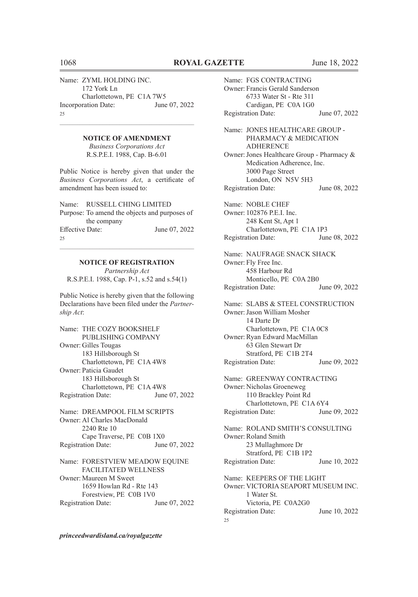Name: ZYML HOLDING INC. 172 York Ln Charlottetown, PE C1A 7W5 Incorporation Date: June 07, 2022 25

 $\mathcal{L}_\text{max} = \mathcal{L}_\text{max} = \mathcal{L}_\text{max} = \mathcal{L}_\text{max} = \mathcal{L}_\text{max} = \mathcal{L}_\text{max} = \mathcal{L}_\text{max} = \mathcal{L}_\text{max} = \mathcal{L}_\text{max} = \mathcal{L}_\text{max} = \mathcal{L}_\text{max} = \mathcal{L}_\text{max} = \mathcal{L}_\text{max} = \mathcal{L}_\text{max} = \mathcal{L}_\text{max} = \mathcal{L}_\text{max} = \mathcal{L}_\text{max} = \mathcal{L}_\text{max} = \mathcal{$ **NOTICE OF AMENDMENT**

> *Business Corporations Act* R.S.P.E.I. 1988, Cap. B-6.01

Public Notice is hereby given that under the *Business Corporations Act*, a certificate of amendment has been issued to:

Name: RUSSELL CHING LIMITED Purpose: To amend the objects and purposes of the company Effective Date: June 07, 2022  $25$ 

# **NOTICE OF REGISTRATION**

 $\mathcal{L}_\text{max} = \mathcal{L}_\text{max} = \mathcal{L}_\text{max} = \mathcal{L}_\text{max} = \mathcal{L}_\text{max} = \mathcal{L}_\text{max} = \mathcal{L}_\text{max} = \mathcal{L}_\text{max} = \mathcal{L}_\text{max} = \mathcal{L}_\text{max} = \mathcal{L}_\text{max} = \mathcal{L}_\text{max} = \mathcal{L}_\text{max} = \mathcal{L}_\text{max} = \mathcal{L}_\text{max} = \mathcal{L}_\text{max} = \mathcal{L}_\text{max} = \mathcal{L}_\text{max} = \mathcal{$ 

*Partnership Act* R.S.P.E.I. 1988, Cap. P-1, s.52 and s.54(1)

Public Notice is hereby given that the following Declarations have been filed under the *Partnership Act*:

Name: THE COZY BOOKSHELF PUBLISHING COMPANY Owner: Gilles Tougas 183 Hillsborough St Charlottetown, PE C1A 4W8 Owner: Paticia Gaudet 183 Hillsborough St Charlottetown, PE C1A 4W8<br>ation Date: June 07, 2022 Registration Date:

Name: DREAMPOOL FILM SCRIPTS Owner: Al Charles MacDonald 2240 Rte 10 Cape Traverse, PE C0B 1X0 Registration Date: June 07, 2022

Name: FORESTVIEW MEADOW EQUINE FACILITATED WELLNESS Owner: Maureen M Sweet 1659 Howlan Rd - Rte 143 Forestview, PE C0B 1V0 Registration Date: June 07, 2022 Name: FGS CONTRACTING Owner: Francis Gerald Sanderson 6733 Water St - Rte 311 Cardigan, PE C0A 1G0 Registration Date: June 07, 2022

Name: JONES HEALTHCARE GROUP - PHARMACY & MEDICATION ADHERENCE Owner:Jones Healthcare Group - Pharmacy & Medication Adherence, Inc. 3000 Page Street London, ON N5V 5H3 Registration Date: June 08, 2022 Name: NOBLE CHEF Owner: 102876 P.E.I. Inc. 248 Kent St, Apt 1

Charlottetown, PE C1A 1P3<br>ation Date: June 08, 2022 Registration Date:

Name: NAUFRAGE SNACK SHACK Owner: Fly Free Inc. 458 Harbour Rd Monticello, PE C0A 2B0 Registration Date: June 09, 2022

Name: SLABS & STEEL CONSTRUCTION Owner:Jason William Mosher 14 Darte Dr Charlottetown, PE C1A 0C8 Owner: Ryan Edward MacMillan 63 Glen Stewart Dr Stratford, PE C1B 2T4 Registration Date: June 09, 2022

Name: GREENWAY CONTRACTING Owner: Nicholas Groeneweg 110 Brackley Point Rd Charlottetown, PE C1A 6Y4 Registration Date: June 09, 2022

Name: ROLAND SMITH'S CONSULTING Owner: Roland Smith 23 Mullaghmore Dr Stratford, PE C1B 1P2 Registration Date: June 10, 2022

Name: KEEPERS OF THE LIGHT Owner: VICTORIA SEAPORT MUSEUM INC. 1 Water St. Victoria, PE C0A2G0 Registration Date: June 10, 2022  $25$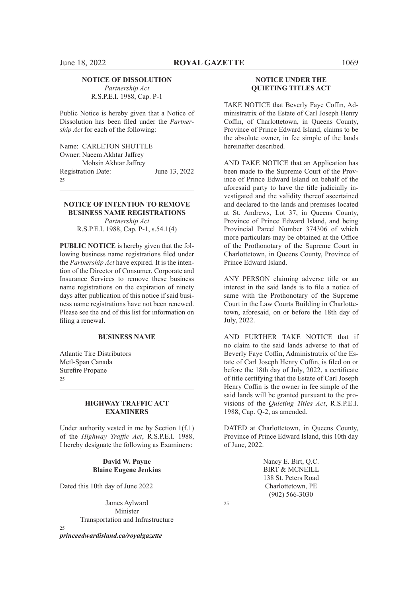#### **NOTICE OF DISSOLUTION**

*Partnership Act* R.S.P.E.I. 1988, Cap. P-1

Public Notice is hereby given that a Notice of Dissolution has been filed under the *Partnership Act* for each of the following:

Name: CARLETON SHUTTLE Owner: Naeem Akhtar Jaffrey Mohsin Akhtar Jaffrey Registration Date: June 13, 2022 25

#### **NOTICE OF INTENTION TO REMOVE BUSINESS NAME REGISTRATIONS** *Partnership Act*

 $\mathcal{L}_\text{max} = \mathcal{L}_\text{max} = \mathcal{L}_\text{max} = \mathcal{L}_\text{max} = \mathcal{L}_\text{max} = \mathcal{L}_\text{max} = \mathcal{L}_\text{max} = \mathcal{L}_\text{max} = \mathcal{L}_\text{max} = \mathcal{L}_\text{max} = \mathcal{L}_\text{max} = \mathcal{L}_\text{max} = \mathcal{L}_\text{max} = \mathcal{L}_\text{max} = \mathcal{L}_\text{max} = \mathcal{L}_\text{max} = \mathcal{L}_\text{max} = \mathcal{L}_\text{max} = \mathcal{$ 

R.S.P.E.I. 1988, Cap. P-1, s.54.1(4)

**PUBLIC NOTICE** is hereby given that the following business name registrations filed under the *Partnership Act* have expired. It is the intention of the Director of Consumer, Corporate and Insurance Services to remove these business name registrations on the expiration of ninety days after publication of this notice if said business name registrations have not been renewed. Please see the end of this list for information on filing a renewal.

#### **BUSINESS NAME**

Atlantic Tire Distributors Metl-Span Canada Surefire Propane  $25$ 

#### **HIGHWAY TRAFFIC ACT EXAMINERS**

 $\mathcal{L}_\text{max} = \mathcal{L}_\text{max} = \mathcal{L}_\text{max} = \mathcal{L}_\text{max} = \mathcal{L}_\text{max} = \mathcal{L}_\text{max} = \mathcal{L}_\text{max} = \mathcal{L}_\text{max} = \mathcal{L}_\text{max} = \mathcal{L}_\text{max} = \mathcal{L}_\text{max} = \mathcal{L}_\text{max} = \mathcal{L}_\text{max} = \mathcal{L}_\text{max} = \mathcal{L}_\text{max} = \mathcal{L}_\text{max} = \mathcal{L}_\text{max} = \mathcal{L}_\text{max} = \mathcal{$ 

Under authority vested in me by Section 1(f.1) of the *Highway Traffic Act*, R.S.P.E.I. 1988, I hereby designate the following as Examiners:

> **David W. Payne Blaine Eugene Jenkins**

Dated this 10th day of June 2022

James Aylward Minister Transportation and Infrastructure

*princeedwardisland.ca/royalgazette*

 $25$ 

#### **NOTICE UNDER THE QUIETING TITLES ACT**

TAKE NOTICE that Beverly Faye Coffin, Administratrix of the Estate of Carl Joseph Henry Coffin, of Charlottetown, in Queens County, Province of Prince Edward Island, claims to be the absolute owner, in fee simple of the lands hereinafter described.

AND TAKE NOTICE that an Application has been made to the Supreme Court of the Province of Prince Edward Island on behalf of the aforesaid party to have the title judicially investigated and the validity thereof ascertained and declared to the lands and premises located at St. Andrews, Lot 37, in Queens County, Province of Prince Edward Island, and being Provincial Parcel Number 374306 of which more particulars may be obtained at the Office of the Prothonotary of the Supreme Court in Charlottetown, in Queens County, Province of Prince Edward Island.

ANY PERSON claiming adverse title or an interest in the said lands is to file a notice of same with the Prothonotary of the Supreme Court in the Law Courts Building in Charlottetown, aforesaid, on or before the 18th day of July, 2022.

AND FURTHER TAKE NOTICE that if no claim to the said lands adverse to that of Beverly Faye Coffin, Administratrix of the Estate of Carl Joseph Henry Coffin, is filed on or before the 18th day of July, 2022, a certificate of title certifying that the Estate of Carl Joseph Henry Coffin is the owner in fee simple of the said lands will be granted pursuant to the provisions of the *Quieting Titles Act*, R.S.P.E.I. 1988, Cap. Q-2, as amended.

DATED at Charlottetown, in Queens County, Province of Prince Edward Island, this 10th day of June, 2022.

> Nancy E. Birt, Q.C. BIRT & MCNEILL 138 St. Peters Road Charlottetown, PE (902) 566-3030

 $25$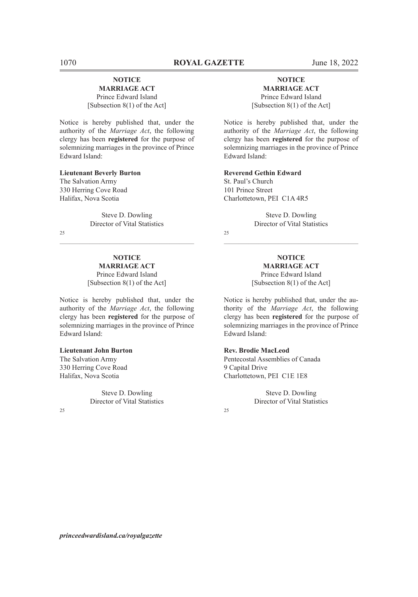# **NOTICE**

#### **MARRIAGE ACT**

Prince Edward Island [Subsection 8(1) of the Act]

Notice is hereby published that, under the authority of the *Marriage Act*, the following clergy has been **registered** for the purpose of solemnizing marriages in the province of Prince Edward Island:

#### **Lieutenant Beverly Burton**

The Salvation Army 330 Herring Cove Road Halifax, Nova Scotia

> Steve D. Dowling Director of Vital Statistics

 $\mathcal{L}_\text{max} = \mathcal{L}_\text{max} = \mathcal{L}_\text{max} = \mathcal{L}_\text{max} = \mathcal{L}_\text{max} = \mathcal{L}_\text{max} = \mathcal{L}_\text{max} = \mathcal{L}_\text{max} = \mathcal{L}_\text{max} = \mathcal{L}_\text{max} = \mathcal{L}_\text{max} = \mathcal{L}_\text{max} = \mathcal{L}_\text{max} = \mathcal{L}_\text{max} = \mathcal{L}_\text{max} = \mathcal{L}_\text{max} = \mathcal{L}_\text{max} = \mathcal{L}_\text{max} = \mathcal{$ 

 $25$ 

#### **NOTICE MARRIAGE ACT** Prince Edward Island [Subsection 8(1) of the Act]

Notice is hereby published that, under the authority of the *Marriage Act*, the following clergy has been **registered** for the purpose of solemnizing marriages in the province of Prince Edward Island:

#### **Lieutenant John Burton**

The Salvation Army 330 Herring Cove Road Halifax, Nova Scotia

> Steve D. Dowling Director of Vital Statistics

 $25$ 

#### **NOTICE MARRIAGE ACT**

Prince Edward Island [Subsection 8(1) of the Act]

Notice is hereby published that, under the authority of the *Marriage Act*, the following clergy has been **registered** for the purpose of solemnizing marriages in the province of Prince Edward Island:

#### **Reverend Gethin Edward**

St. Paul's Church 101 Prince Street Charlottetown, PEI C1A 4R5

> Steve D. Dowling Director of Vital Statistics

 $25$ 

**NOTICE MARRIAGE ACT** Prince Edward Island [Subsection 8(1) of the Act]

 $\mathcal{L}_\text{max} = \mathcal{L}_\text{max} = \mathcal{L}_\text{max} = \mathcal{L}_\text{max} = \mathcal{L}_\text{max} = \mathcal{L}_\text{max} = \mathcal{L}_\text{max} = \mathcal{L}_\text{max} = \mathcal{L}_\text{max} = \mathcal{L}_\text{max} = \mathcal{L}_\text{max} = \mathcal{L}_\text{max} = \mathcal{L}_\text{max} = \mathcal{L}_\text{max} = \mathcal{L}_\text{max} = \mathcal{L}_\text{max} = \mathcal{L}_\text{max} = \mathcal{L}_\text{max} = \mathcal{$ 

Notice is hereby published that, under the authority of the *Marriage Act*, the following clergy has been **registered** for the purpose of solemnizing marriages in the province of Prince Edward Island:

#### **Rev. Brodie MacLeod**

Pentecostal Assemblies of Canada 9 Capital Drive Charlottetown, PEI C1E 1E8

> Steve D. Dowling Director of Vital Statistics

 $25$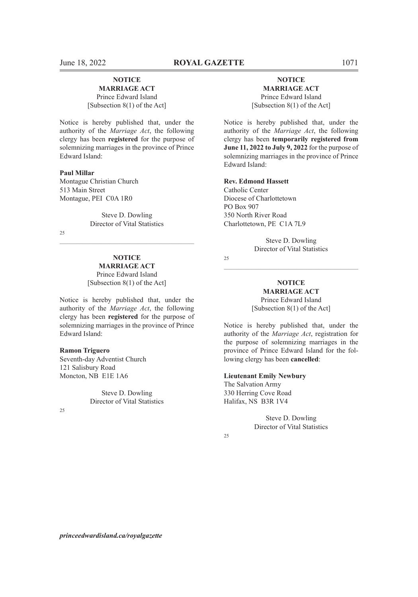#### **NOTICE MARRIAGE ACT**

Prince Edward Island [Subsection 8(1) of the Act]

Notice is hereby published that, under the authority of the *Marriage Act*, the following clergy has been **registered** for the purpose of solemnizing marriages in the province of Prince Edward Island:

#### **Paul Millar**

Montague Christian Church 513 Main Street Montague, PEI C0A 1R0

> Steve D. Dowling Director of Vital Statistics

 $\mathcal{L}_\text{max} = \mathcal{L}_\text{max} = \mathcal{L}_\text{max} = \mathcal{L}_\text{max} = \mathcal{L}_\text{max} = \mathcal{L}_\text{max} = \mathcal{L}_\text{max} = \mathcal{L}_\text{max} = \mathcal{L}_\text{max} = \mathcal{L}_\text{max} = \mathcal{L}_\text{max} = \mathcal{L}_\text{max} = \mathcal{L}_\text{max} = \mathcal{L}_\text{max} = \mathcal{L}_\text{max} = \mathcal{L}_\text{max} = \mathcal{L}_\text{max} = \mathcal{L}_\text{max} = \mathcal{$ 

 $25$ 

# **NOTICE**

**MARRIAGE ACT** Prince Edward Island [Subsection 8(1) of the Act]

Notice is hereby published that, under the authority of the *Marriage Act*, the following clergy has been **registered** for the purpose of solemnizing marriages in the province of Prince Edward Island:

#### **Ramon Triguero**

Seventh-day Adventist Church 121 Salisbury Road Moncton, NB E1E 1A6

> Steve D. Dowling Director of Vital Statistics

 $25$ 

### **NOTICE MARRIAGE ACT** Prince Edward Island

[Subsection 8(1) of the Act]

Notice is hereby published that, under the authority of the *Marriage Act*, the following clergy has been **temporarily registered from June 11, 2022 to July 9, 2022** for the purpose of solemnizing marriages in the province of Prince Edward Island:

#### **Rev. Edmond Hassett**

Catholic Center Diocese of Charlottetown PO Box 907 350 North River Road Charlottetown, PE C1A 7L9

> Steve D. Dowling Director of Vital Statistics

25

#### **NOTICE MARRIAGE ACT** Prince Edward Island

[Subsection 8(1) of the Act]

Notice is hereby published that, under the authority of the *Marriage Act*, registration for the purpose of solemnizing marriages in the province of Prince Edward Island for the following clergy has been **cancelled**:

#### **Lieutenant Emily Newbury**

The Salvation Army 330 Herring Cove Road Halifax, NS B3R 1V4

> Steve D. Dowling Director of Vital Statistics

#### 25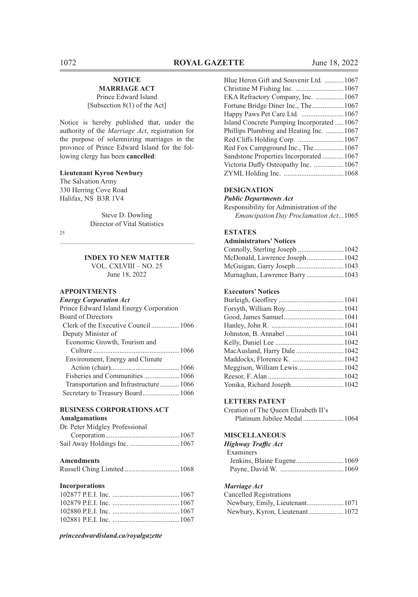#### **NOTICE MARRIAGE ACT**

Prince Edward Island [Subsection 8(1) of the Act]

Notice is hereby published that, under the authority of the *Marriage Act*, registration for the purpose of solemnizing marriages in the province of Prince Edward Island for the following clergy has been **cancelled**:

#### **Lieutenant Kyron Newbury**

The Salvation Army 330 Herring Cove Road Halifax, NS B3R 1V4

> Steve D. Dowling Director of Vital Statistics

25

# $\mathcal{L}_\text{max} = \mathcal{L}_\text{max} = \mathcal{L}_\text{max} = \mathcal{L}_\text{max} = \mathcal{L}_\text{max} = \mathcal{L}_\text{max} = \mathcal{L}_\text{max} = \mathcal{L}_\text{max} = \mathcal{L}_\text{max} = \mathcal{L}_\text{max} = \mathcal{L}_\text{max} = \mathcal{L}_\text{max} = \mathcal{L}_\text{max} = \mathcal{L}_\text{max} = \mathcal{L}_\text{max} = \mathcal{L}_\text{max} = \mathcal{L}_\text{max} = \mathcal{L}_\text{max} = \mathcal{$ **INDEX TO NEW MATTER**

VOL. CXLVIII – NO. 25 June 18, 2022

# **APPOINTMENTS**

#### **BUSINESS CORPORATIONS ACT Amalgamations**

| Dr. Peter Midgley Professional |  |
|--------------------------------|--|
|                                |  |
|                                |  |

#### **Amendments**

|--|--|--|--|

### **Incorporations**

*princeedwardisland.ca/royalgazette*

| Blue Heron Gift and Souvenir Ltd. 1067    |  |
|-------------------------------------------|--|
|                                           |  |
| EKA Refractory Company, Inc. 1067         |  |
| Fortune Bridge Diner Inc., The 1067       |  |
| Happy Paws Pet Care Ltd. 1067             |  |
| Island Concrete Pumping Incorporated 1067 |  |
| Phillips Plumbing and Heating Inc. 1067   |  |
|                                           |  |
| Red Fox Campground Inc., The1067          |  |
| Sandstone Properties Incorporated 1067    |  |
| Victoria Duffy Osteopathy Inc. 1067       |  |
|                                           |  |
|                                           |  |

#### **DESIGNATION**

*Public Departments Act*

Responsibility for Administration of the *Emancipation Day Proclamation Act*...1065

#### **ESTATES**

#### **Administrators' Notices**

| McDonald, Lawrence Joseph 1042 |  |
|--------------------------------|--|
|                                |  |
| Murnaghan, Lawrence Barry 1043 |  |

#### **Executors' Notices**

#### **LETTERS PATENT**

Creation of The Queen Elizabeth II's Platinum Jubilee Medal .......................1064

#### **MISCELLANEOUS**

| <b>Highway Traffic Act</b> |  |
|----------------------------|--|
| Examiners                  |  |
|                            |  |
|                            |  |

#### *Marriage Act*

| Cancelled Registrations |  |
|-------------------------|--|
|                         |  |
|                         |  |